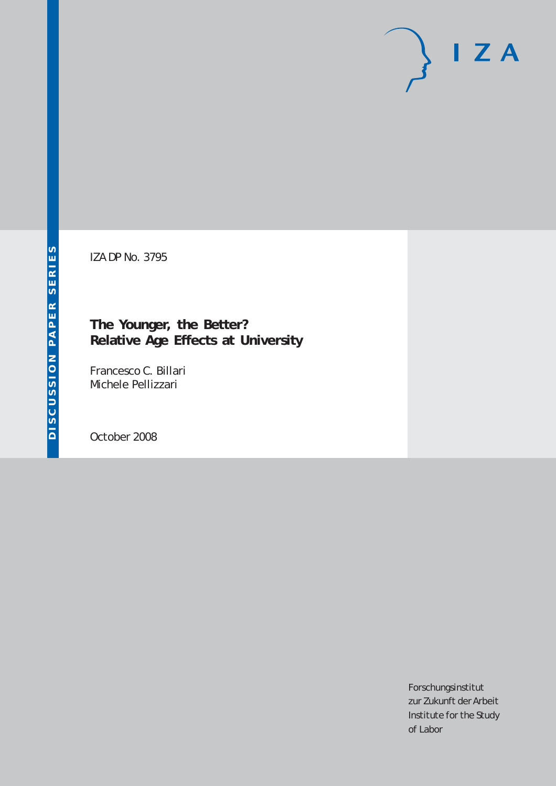# $I Z A$

IZA DP No. 3795

# **The Younger, the Better? Relative Age Effects at University**

Francesco C. Billari Michele Pellizzari

October 2008

Forschungsinstitut zur Zukunft der Arbeit Institute for the Study of Labor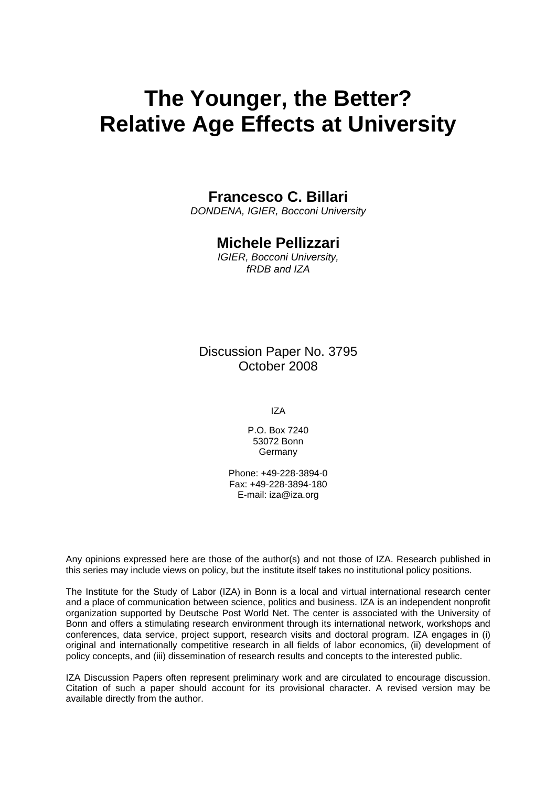# **The Younger, the Better? Relative Age Effects at University**

# **Francesco C. Billari**

*DONDENA, IGIER, Bocconi University* 

# **Michele Pellizzari**

*IGIER, Bocconi University, fRDB and IZA* 

Discussion Paper No. 3795 October 2008

IZA

P.O. Box 7240 53072 Bonn Germany

Phone: +49-228-3894-0 Fax: +49-228-3894-180 E-mail: [iza@iza.org](mailto:iza@iza.org)

Any opinions expressed here are those of the author(s) and not those of IZA. Research published in this series may include views on policy, but the institute itself takes no institutional policy positions.

The Institute for the Study of Labor (IZA) in Bonn is a local and virtual international research center and a place of communication between science, politics and business. IZA is an independent nonprofit organization supported by Deutsche Post World Net. The center is associated with the University of Bonn and offers a stimulating research environment through its international network, workshops and conferences, data service, project support, research visits and doctoral program. IZA engages in (i) original and internationally competitive research in all fields of labor economics, (ii) development of policy concepts, and (iii) dissemination of research results and concepts to the interested public.

IZA Discussion Papers often represent preliminary work and are circulated to encourage discussion. Citation of such a paper should account for its provisional character. A revised version may be available directly from the author.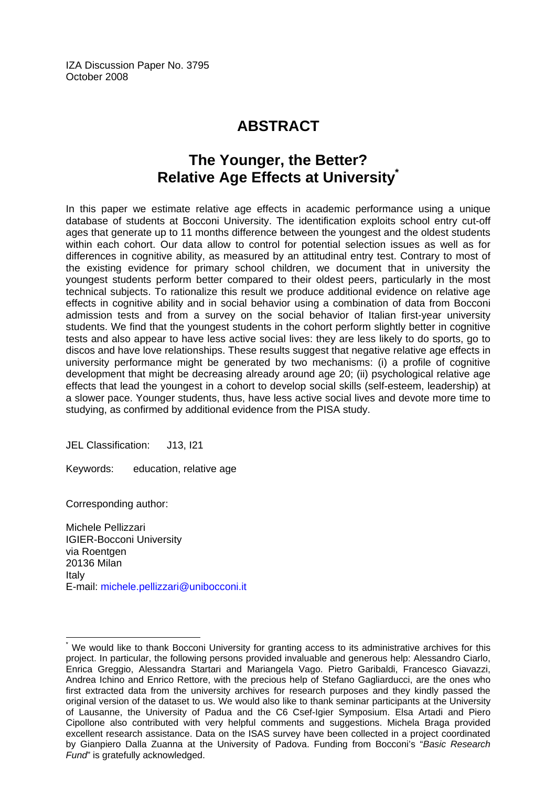IZA Discussion Paper No. 3795 October 2008

# **ABSTRACT**

# **The Younger, the Better? Relative Age Effects at University[\\*](#page-2-0)**

In this paper we estimate relative age effects in academic performance using a unique database of students at Bocconi University. The identification exploits school entry cut-off ages that generate up to 11 months difference between the youngest and the oldest students within each cohort. Our data allow to control for potential selection issues as well as for differences in cognitive ability, as measured by an attitudinal entry test. Contrary to most of the existing evidence for primary school children, we document that in university the youngest students perform better compared to their oldest peers, particularly in the most technical subjects. To rationalize this result we produce additional evidence on relative age effects in cognitive ability and in social behavior using a combination of data from Bocconi admission tests and from a survey on the social behavior of Italian first-year university students. We find that the youngest students in the cohort perform slightly better in cognitive tests and also appear to have less active social lives: they are less likely to do sports, go to discos and have love relationships. These results suggest that negative relative age effects in university performance might be generated by two mechanisms: (i) a profile of cognitive development that might be decreasing already around age 20; (ii) psychological relative age effects that lead the youngest in a cohort to develop social skills (self-esteem, leadership) at a slower pace. Younger students, thus, have less active social lives and devote more time to studying, as confirmed by additional evidence from the PISA study.

JEL Classification: J13, I21

Keywords: education, relative age

Corresponding author:

 $\overline{a}$ 

Michele Pellizzari IGIER-Bocconi University via Roentgen 20136 Milan Italy E-mail: [michele.pellizzari@unibocconi.it](mailto:michele.pellizzari@unibocconi.it) 

<span id="page-2-0"></span><sup>\*</sup> We would like to thank Bocconi University for granting access to its administrative archives for this project. In particular, the following persons provided invaluable and generous help: Alessandro Ciarlo, Enrica Greggio, Alessandra Startari and Mariangela Vago. Pietro Garibaldi, Francesco Giavazzi, Andrea Ichino and Enrico Rettore, with the precious help of Stefano Gagliarducci, are the ones who first extracted data from the university archives for research purposes and they kindly passed the original version of the dataset to us. We would also like to thank seminar participants at the University of Lausanne, the University of Padua and the C6 Csef-Igier Symposium. Elsa Artadi and Piero Cipollone also contributed with very helpful comments and suggestions. Michela Braga provided excellent research assistance. Data on the ISAS survey have been collected in a project coordinated by Gianpiero Dalla Zuanna at the University of Padova. Funding from Bocconi's "*Basic Research Fund*" is gratefully acknowledged.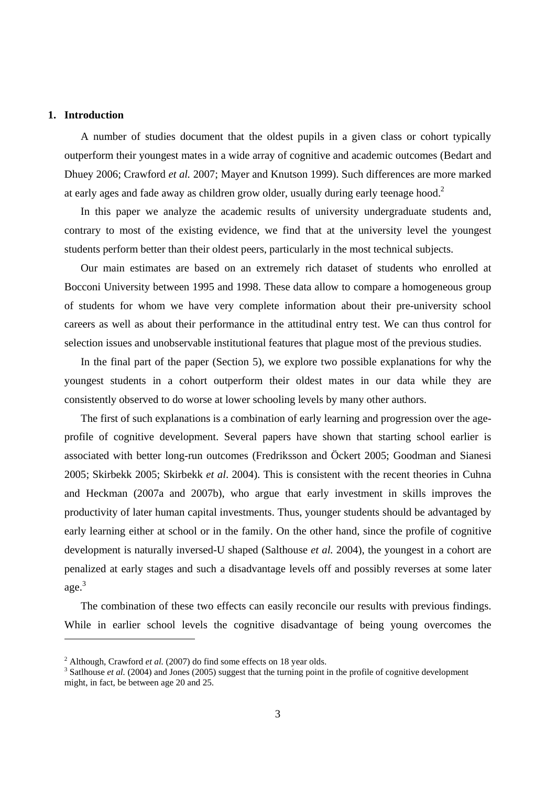### **1. Introduction**

-

A number of studies document that the oldest pupils in a given class or cohort typically outperform their youngest mates in a wide array of cognitive and academic outcomes (Bedart and Dhuey 2006; Crawford *et al.* 2007; Mayer and Knutson 1999). Such differences are more marked at early ages and fade away as children grow older, usually during early teenage hood.<sup>2</sup>

In this paper we analyze the academic results of university undergraduate students and, contrary to most of the existing evidence, we find that at the university level the youngest students perform better than their oldest peers, particularly in the most technical subjects.

Our main estimates are based on an extremely rich dataset of students who enrolled at Bocconi University between 1995 and 1998. These data allow to compare a homogeneous group of students for whom we have very complete information about their pre-university school careers as well as about their performance in the attitudinal entry test. We can thus control for selection issues and unobservable institutional features that plague most of the previous studies.

In the final part of the paper (Section 5), we explore two possible explanations for why the youngest students in a cohort outperform their oldest mates in our data while they are consistently observed to do worse at lower schooling levels by many other authors.

The first of such explanations is a combination of early learning and progression over the ageprofile of cognitive development. Several papers have shown that starting school earlier is associated with better long-run outcomes (Fredriksson and Öckert 2005; Goodman and Sianesi 2005; Skirbekk 2005; Skirbekk *et al*. 2004). This is consistent with the recent theories in Cuhna and Heckman (2007a and 2007b), who argue that early investment in skills improves the productivity of later human capital investments. Thus, younger students should be advantaged by early learning either at school or in the family. On the other hand, since the profile of cognitive development is naturally inversed-U shaped (Salthouse *et al.* 2004), the youngest in a cohort are penalized at early stages and such a disadvantage levels off and possibly reverses at some later age.<sup>3</sup>

The combination of these two effects can easily reconcile our results with previous findings. While in earlier school levels the cognitive disadvantage of being young overcomes the

<sup>&</sup>lt;sup>2</sup> Although, Crawford *et al.* (2007) do find some effects on 18 year olds.

<sup>&</sup>lt;sup>3</sup> Satlhouse *et al.* (2004) and Jones (2005) suggest that the turning point in the profile of cognitive development might, in fact, be between age 20 and 25.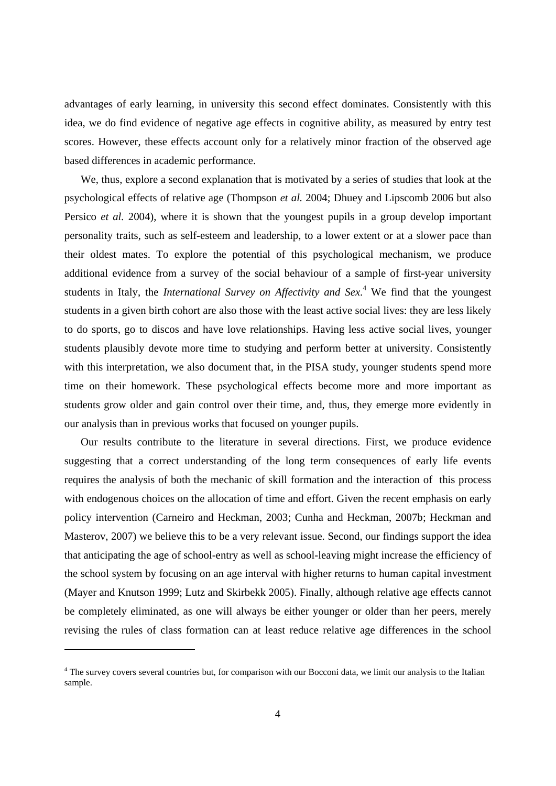advantages of early learning, in university this second effect dominates. Consistently with this idea, we do find evidence of negative age effects in cognitive ability, as measured by entry test scores. However, these effects account only for a relatively minor fraction of the observed age based differences in academic performance.

We, thus, explore a second explanation that is motivated by a series of studies that look at the psychological effects of relative age (Thompson *et al.* 2004; Dhuey and Lipscomb 2006 but also Persico *et al.* 2004), where it is shown that the youngest pupils in a group develop important personality traits, such as self-esteem and leadership, to a lower extent or at a slower pace than their oldest mates. To explore the potential of this psychological mechanism, we produce additional evidence from a survey of the social behaviour of a sample of first-year university students in Italy, the *International Survey on Affectivity and Sex*. 4 We find that the youngest students in a given birth cohort are also those with the least active social lives: they are less likely to do sports, go to discos and have love relationships. Having less active social lives, younger students plausibly devote more time to studying and perform better at university. Consistently with this interpretation, we also document that, in the PISA study, younger students spend more time on their homework. These psychological effects become more and more important as students grow older and gain control over their time, and, thus, they emerge more evidently in our analysis than in previous works that focused on younger pupils.

Our results contribute to the literature in several directions. First, we produce evidence suggesting that a correct understanding of the long term consequences of early life events requires the analysis of both the mechanic of skill formation and the interaction of this process with endogenous choices on the allocation of time and effort. Given the recent emphasis on early policy intervention (Carneiro and Heckman, 2003; Cunha and Heckman, 2007b; Heckman and Masterov, 2007) we believe this to be a very relevant issue. Second, our findings support the idea that anticipating the age of school-entry as well as school-leaving might increase the efficiency of the school system by focusing on an age interval with higher returns to human capital investment (Mayer and Knutson 1999; Lutz and Skirbekk 2005). Finally, although relative age effects cannot be completely eliminated, as one will always be either younger or older than her peers, merely revising the rules of class formation can at least reduce relative age differences in the school

1

<sup>&</sup>lt;sup>4</sup> The survey covers several countries but, for comparison with our Bocconi data, we limit our analysis to the Italian sample.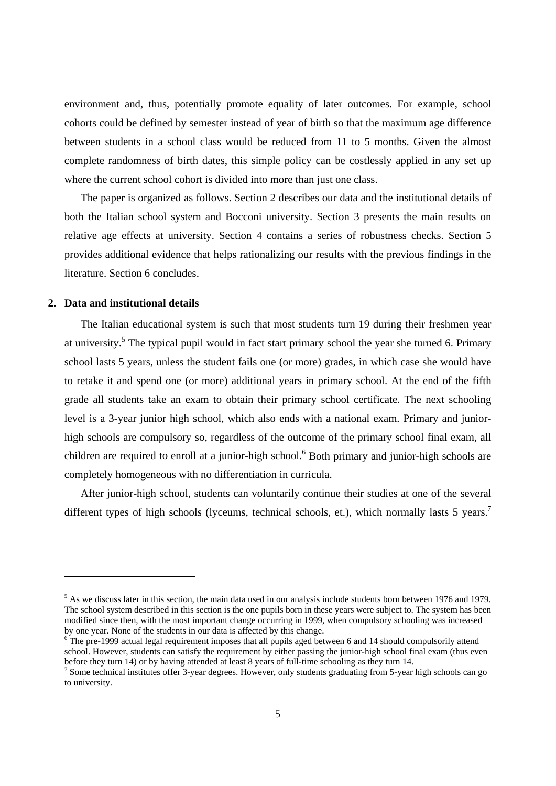environment and, thus, potentially promote equality of later outcomes. For example, school cohorts could be defined by semester instead of year of birth so that the maximum age difference between students in a school class would be reduced from 11 to 5 months. Given the almost complete randomness of birth dates, this simple policy can be costlessly applied in any set up where the current school cohort is divided into more than just one class.

The paper is organized as follows. Section 2 describes our data and the institutional details of both the Italian school system and Bocconi university. Section 3 presents the main results on relative age effects at university. Section 4 contains a series of robustness checks. Section 5 provides additional evidence that helps rationalizing our results with the previous findings in the literature. Section 6 concludes.

### **2. Data and institutional details**

-

The Italian educational system is such that most students turn 19 during their freshmen year at university.<sup>5</sup> The typical pupil would in fact start primary school the year she turned 6. Primary school lasts 5 years, unless the student fails one (or more) grades, in which case she would have to retake it and spend one (or more) additional years in primary school. At the end of the fifth grade all students take an exam to obtain their primary school certificate. The next schooling level is a 3-year junior high school, which also ends with a national exam. Primary and juniorhigh schools are compulsory so, regardless of the outcome of the primary school final exam, all children are required to enroll at a junior-high school.<sup>6</sup> Both primary and junior-high schools are completely homogeneous with no differentiation in curricula.

After junior-high school, students can voluntarily continue their studies at one of the several different types of high schools (lyceums, technical schools, et.), which normally lasts 5 years.<sup>7</sup>

 $<sup>5</sup>$  As we discuss later in this section, the main data used in our analysis include students born between 1976 and 1979.</sup> The school system described in this section is the one pupils born in these years were subject to. The system has been modified since then, with the most important change occurring in 1999, when compulsory schooling was increased by one year. None of the students in our data is affected by this change.

 $6$ <sup>6</sup> The pre-1999 actual legal requirement imposes that all pupils aged between 6 and 14 should compulsorily attend school. However, students can satisfy the requirement by either passing the junior-high school final exam (thus even before they turn 14) or by having attended at least 8 years of full-time schooling as they turn 14.

<sup>&</sup>lt;sup>7</sup> Some technical institutes offer 3-year degrees. However, only students graduating from 5-year high schools can go to university.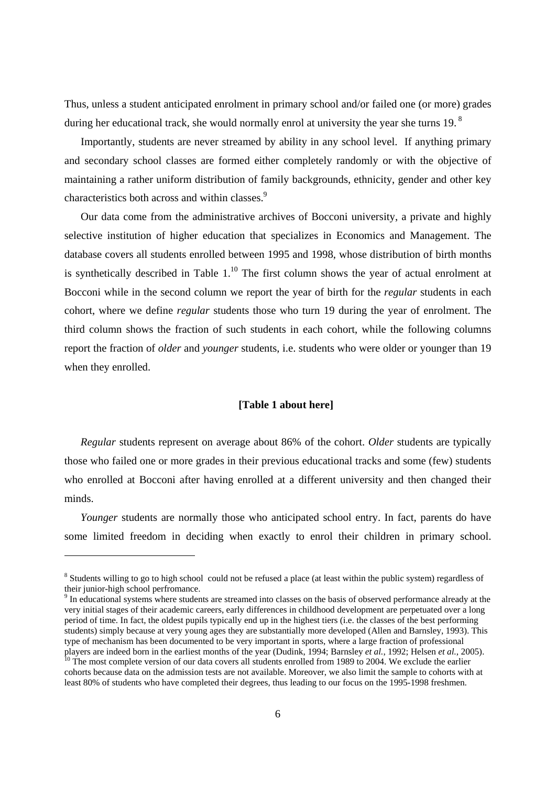Thus, unless a student anticipated enrolment in primary school and/or failed one (or more) grades during her educational track, she would normally enrol at university the year she turns 19. $^8$ 

Importantly, students are never streamed by ability in any school level. If anything primary and secondary school classes are formed either completely randomly or with the objective of maintaining a rather uniform distribution of family backgrounds, ethnicity, gender and other key characteristics both across and within classes.<sup>9</sup>

Our data come from the administrative archives of Bocconi university, a private and highly selective institution of higher education that specializes in Economics and Management. The database covers all students enrolled between 1995 and 1998, whose distribution of birth months is synthetically described in Table  $1<sup>10</sup>$  The first column shows the year of actual enrolment at Bocconi while in the second column we report the year of birth for the *regular* students in each cohort, where we define *regular* students those who turn 19 during the year of enrolment. The third column shows the fraction of such students in each cohort, while the following columns report the fraction of *older* and *younger* students, i.e. students who were older or younger than 19 when they enrolled.

### **[Table 1 about here]**

*Regular* students represent on average about 86% of the cohort. *Older* students are typically those who failed one or more grades in their previous educational tracks and some (few) students who enrolled at Bocconi after having enrolled at a different university and then changed their minds.

*Younger* students are normally those who anticipated school entry. In fact, parents do have some limited freedom in deciding when exactly to enrol their children in primary school.

-

<sup>&</sup>lt;sup>8</sup> Students willing to go to high school could not be refused a place (at least within the public system) regardless of their junior-high school perfromance.

<sup>&</sup>lt;sup>9</sup> In educational systems where students are streamed into classes on the basis of observed performance already at the very initial stages of their academic careers, early differences in childhood development are perpetuated over a long period of time. In fact, the oldest pupils typically end up in the highest tiers (i.e. the classes of the best performing students) simply because at very young ages they are substantially more developed (Allen and Barnsley, 1993). This type of mechanism has been documented to be very important in sports, where a large fraction of professional players are indeed born in the earliest months of the year (Dudink, 1994; Barnsley *et al.*, 1992; Helsen *et al.*, 2005).<br><sup>10</sup> The most complete version of our data covers all students enrolled from 1989 to 2004. We exclu

cohorts because data on the admission tests are not available. Moreover, we also limit the sample to cohorts with at least 80% of students who have completed their degrees, thus leading to our focus on the 1995-1998 freshmen.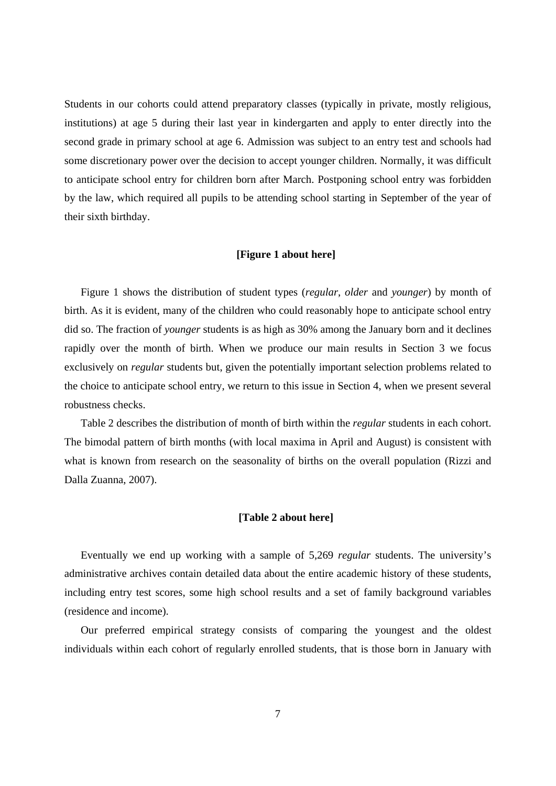Students in our cohorts could attend preparatory classes (typically in private, mostly religious, institutions) at age 5 during their last year in kindergarten and apply to enter directly into the second grade in primary school at age 6. Admission was subject to an entry test and schools had some discretionary power over the decision to accept younger children. Normally, it was difficult to anticipate school entry for children born after March. Postponing school entry was forbidden by the law, which required all pupils to be attending school starting in September of the year of their sixth birthday.

### **[Figure 1 about here]**

Figure 1 shows the distribution of student types (*regular*, *older* and *younger*) by month of birth. As it is evident, many of the children who could reasonably hope to anticipate school entry did so. The fraction of *younger* students is as high as 30% among the January born and it declines rapidly over the month of birth. When we produce our main results in Section 3 we focus exclusively on *regular* students but, given the potentially important selection problems related to the choice to anticipate school entry, we return to this issue in Section 4, when we present several robustness checks.

Table 2 describes the distribution of month of birth within the *regular* students in each cohort. The bimodal pattern of birth months (with local maxima in April and August) is consistent with what is known from research on the seasonality of births on the overall population (Rizzi and Dalla Zuanna, 2007).

### **[Table 2 about here]**

Eventually we end up working with a sample of 5,269 *regular* students. The university's administrative archives contain detailed data about the entire academic history of these students, including entry test scores, some high school results and a set of family background variables (residence and income).

Our preferred empirical strategy consists of comparing the youngest and the oldest individuals within each cohort of regularly enrolled students, that is those born in January with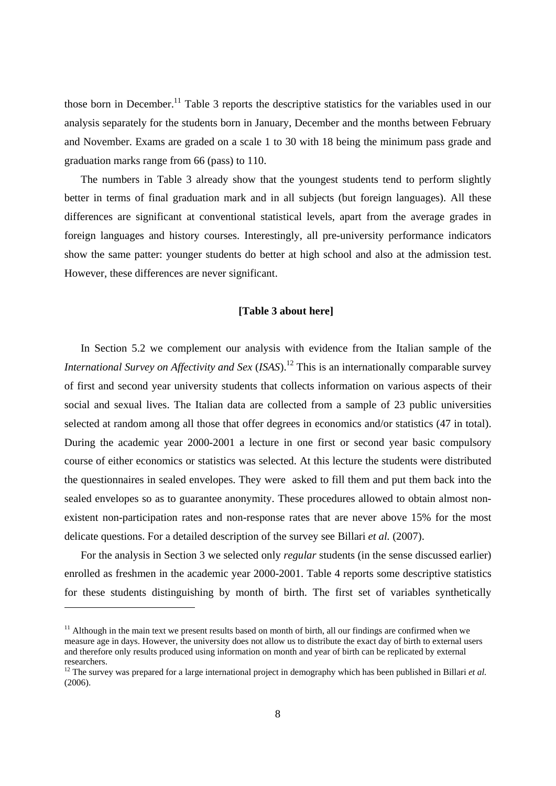those born in December.<sup>11</sup> Table 3 reports the descriptive statistics for the variables used in our analysis separately for the students born in January, December and the months between February and November. Exams are graded on a scale 1 to 30 with 18 being the minimum pass grade and graduation marks range from 66 (pass) to 110.

The numbers in Table 3 already show that the youngest students tend to perform slightly better in terms of final graduation mark and in all subjects (but foreign languages). All these differences are significant at conventional statistical levels, apart from the average grades in foreign languages and history courses. Interestingly, all pre-university performance indicators show the same patter: younger students do better at high school and also at the admission test. However, these differences are never significant.

### **[Table 3 about here]**

In Section 5.2 we complement our analysis with evidence from the Italian sample of the *International Survey on Affectivity and Sex (ISAS)*.<sup>12</sup> This is an internationally comparable survey of first and second year university students that collects information on various aspects of their social and sexual lives. The Italian data are collected from a sample of 23 public universities selected at random among all those that offer degrees in economics and/or statistics (47 in total). During the academic year 2000-2001 a lecture in one first or second year basic compulsory course of either economics or statistics was selected. At this lecture the students were distributed the questionnaires in sealed envelopes. They were asked to fill them and put them back into the sealed envelopes so as to guarantee anonymity. These procedures allowed to obtain almost nonexistent non-participation rates and non-response rates that are never above 15% for the most delicate questions. For a detailed description of the survey see Billari *et al.* (2007).

For the analysis in Section 3 we selected only *regular* students (in the sense discussed earlier) enrolled as freshmen in the academic year 2000-2001. Table 4 reports some descriptive statistics for these students distinguishing by month of birth. The first set of variables synthetically

 $\overline{a}$ 

 $11$  Although in the main text we present results based on month of birth, all our findings are confirmed when we measure age in days. However, the university does not allow us to distribute the exact day of birth to external users and therefore only results produced using information on month and year of birth can be replicated by external researchers.

<sup>&</sup>lt;sup>12</sup> The survey was prepared for a large international project in demography which has been published in Billari *et al.* (2006).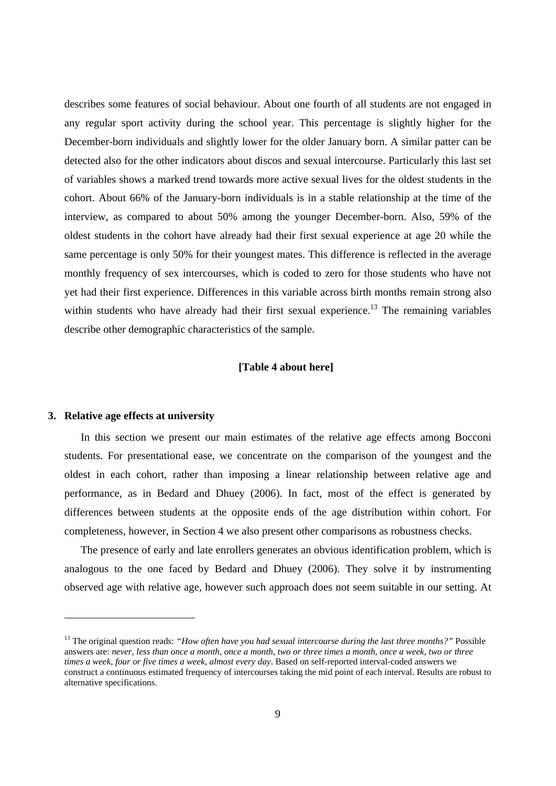describes some features of social behaviour. About one fourth of all students are not engaged in any regular sport activity during the school year. This percentage is slightly higher for the December-born individuals and slightly lower for the older January born. A similar patter can be detected also for the other indicators about discos and sexual intercourse. Particularly this last set of variables shows a marked trend towards more active sexual lives for the oldest students in the cohort. About 66% of the January-born individuals is in a stable relationship at the time of the interview, as compared to about 50% among the younger December-born. Also, 59% of the oldest students in the cohort have already had their first sexual experience at age 20 while the same percentage is only 50% for their youngest mates. This difference is reflected in the average monthly frequency of sex intercourses, which is coded to zero for those students who have not yet had their first experience. Differences in this variable across birth months remain strong also within students who have already had their first sexual experience.<sup>13</sup> The remaining variables describe other demographic characteristics of the sample.

### **[Table 4 about here]**

### **3. Relative age effects at university**

-

In this section we present our main estimates of the relative age effects among Bocconi students. For presentational ease, we concentrate on the comparison of the youngest and the oldest in each cohort, rather than imposing a linear relationship between relative age and performance, as in Bedard and Dhuey (2006). In fact, most of the effect is generated by differences between students at the opposite ends of the age distribution within cohort. For completeness, however, in Section 4 we also present other comparisons as robustness checks.

The presence of early and late enrollers generates an obvious identification problem, which is analogous to the one faced by Bedard and Dhuey (2006). They solve it by instrumenting observed age with relative age, however such approach does not seem suitable in our setting. At

<sup>&</sup>lt;sup>13</sup> The original question reads: *"How often have you had sexual intercourse during the last three months?"* Possible answers are: *never*, *less than once a month*, *once a month*, *two or three times a month*, *once a week*, *two or three times a week*, *four or five times a week*, *almost every day*. Based on self-reported interval-coded answers we construct a continuous estimated frequency of intercourses taking the mid point of each interval. Results are robust to alternative specifications.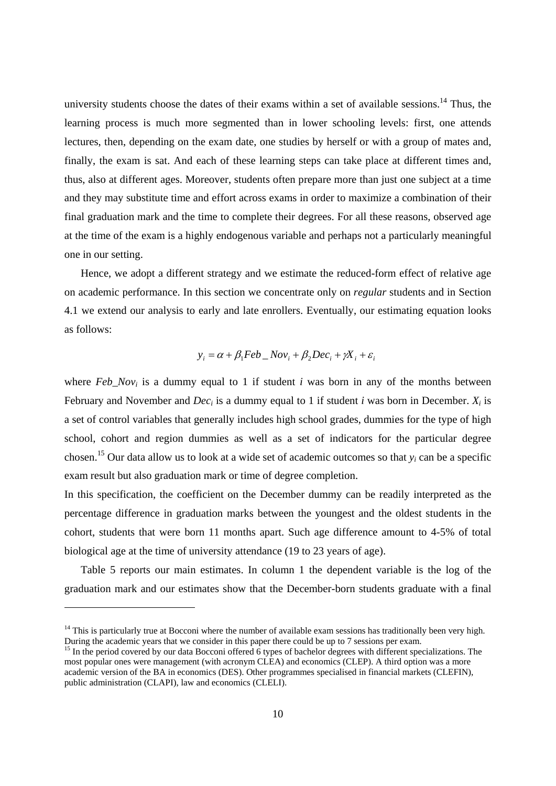university students choose the dates of their exams within a set of available sessions.<sup>14</sup> Thus, the learning process is much more segmented than in lower schooling levels: first, one attends lectures, then, depending on the exam date, one studies by herself or with a group of mates and, finally, the exam is sat. And each of these learning steps can take place at different times and, thus, also at different ages. Moreover, students often prepare more than just one subject at a time and they may substitute time and effort across exams in order to maximize a combination of their final graduation mark and the time to complete their degrees. For all these reasons, observed age at the time of the exam is a highly endogenous variable and perhaps not a particularly meaningful one in our setting.

Hence, we adopt a different strategy and we estimate the reduced-form effect of relative age on academic performance. In this section we concentrate only on *regular* students and in Section 4.1 we extend our analysis to early and late enrollers. Eventually, our estimating equation looks as follows:

$$
y_i = \alpha + \beta_1 Feb \_Nov_i + \beta_2 Dec_i + \gamma X_i + \varepsilon_i
$$

where  $Feb_Nov_i$  is a dummy equal to 1 if student *i* was born in any of the months between February and November and  $Dec_i$  is a dummy equal to 1 if student *i* was born in December.  $X_i$  is a set of control variables that generally includes high school grades, dummies for the type of high school, cohort and region dummies as well as a set of indicators for the particular degree chosen.<sup>15</sup> Our data allow us to look at a wide set of academic outcomes so that  $y_i$  can be a specific exam result but also graduation mark or time of degree completion.

In this specification, the coefficient on the December dummy can be readily interpreted as the percentage difference in graduation marks between the youngest and the oldest students in the cohort, students that were born 11 months apart. Such age difference amount to 4-5% of total biological age at the time of university attendance (19 to 23 years of age).

Table 5 reports our main estimates. In column 1 the dependent variable is the log of the graduation mark and our estimates show that the December-born students graduate with a final

 $\overline{a}$ 

 $14$  This is particularly true at Bocconi where the number of available exam sessions has traditionally been very high. During the academic years that we consider in this paper there could be up to 7 sessions per exam.

<sup>&</sup>lt;sup>15</sup> In the period covered by our data Bocconi offered 6 types of bachelor degrees with different specializations. The most popular ones were management (with acronym CLEA) and economics (CLEP). A third option was a more academic version of the BA in economics (DES). Other programmes specialised in financial markets (CLEFIN), public administration (CLAPI), law and economics (CLELI).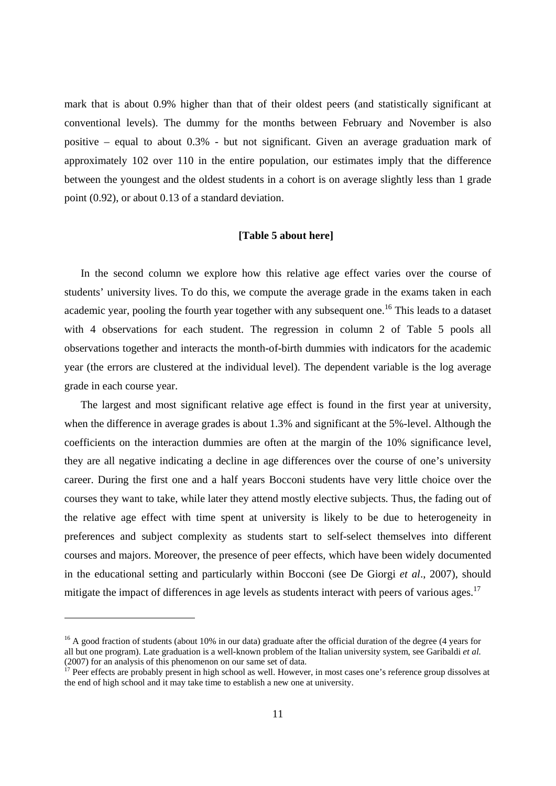mark that is about 0.9% higher than that of their oldest peers (and statistically significant at conventional levels). The dummy for the months between February and November is also positive – equal to about 0.3% - but not significant. Given an average graduation mark of approximately 102 over 110 in the entire population, our estimates imply that the difference between the youngest and the oldest students in a cohort is on average slightly less than 1 grade point (0.92), or about 0.13 of a standard deviation.

### **[Table 5 about here]**

In the second column we explore how this relative age effect varies over the course of students' university lives. To do this, we compute the average grade in the exams taken in each academic year, pooling the fourth year together with any subsequent one.<sup>16</sup> This leads to a dataset with 4 observations for each student. The regression in column 2 of Table 5 pools all observations together and interacts the month-of-birth dummies with indicators for the academic year (the errors are clustered at the individual level). The dependent variable is the log average grade in each course year.

The largest and most significant relative age effect is found in the first year at university, when the difference in average grades is about 1.3% and significant at the 5%-level. Although the coefficients on the interaction dummies are often at the margin of the 10% significance level, they are all negative indicating a decline in age differences over the course of one's university career. During the first one and a half years Bocconi students have very little choice over the courses they want to take, while later they attend mostly elective subjects. Thus, the fading out of the relative age effect with time spent at university is likely to be due to heterogeneity in preferences and subject complexity as students start to self-select themselves into different courses and majors. Moreover, the presence of peer effects, which have been widely documented in the educational setting and particularly within Bocconi (see De Giorgi *et al*., 2007), should mitigate the impact of differences in age levels as students interact with peers of various ages.<sup>17</sup>

-

 $16$  A good fraction of students (about 10% in our data) graduate after the official duration of the degree (4 years for all but one program). Late graduation is a well-known problem of the Italian university system, see Garibaldi *et al.*  (2007) for an analysis of this phenomenon on our same set of data.

<sup>&</sup>lt;sup>17</sup> Peer effects are probably present in high school as well. However, in most cases one's reference group dissolves at the end of high school and it may take time to establish a new one at university.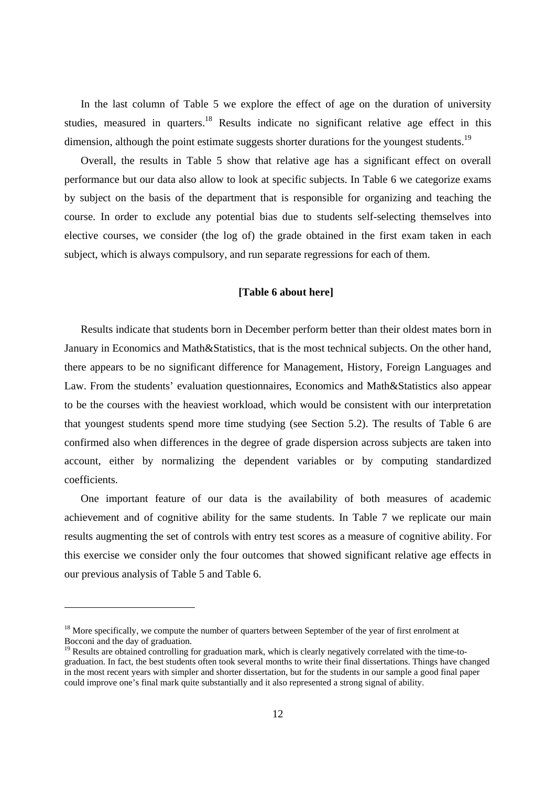In the last column of Table 5 we explore the effect of age on the duration of university studies. measured in quarters.<sup>18</sup> Results indicate no significant relative age effect in this dimension, although the point estimate suggests shorter durations for the youngest students.<sup>19</sup>

Overall, the results in Table 5 show that relative age has a significant effect on overall performance but our data also allow to look at specific subjects. In Table 6 we categorize exams by subject on the basis of the department that is responsible for organizing and teaching the course. In order to exclude any potential bias due to students self-selecting themselves into elective courses, we consider (the log of) the grade obtained in the first exam taken in each subject, which is always compulsory, and run separate regressions for each of them.

### **[Table 6 about here]**

Results indicate that students born in December perform better than their oldest mates born in January in Economics and Math&Statistics, that is the most technical subjects. On the other hand, there appears to be no significant difference for Management, History, Foreign Languages and Law. From the students' evaluation questionnaires, Economics and Math&Statistics also appear to be the courses with the heaviest workload, which would be consistent with our interpretation that youngest students spend more time studying (see Section 5.2). The results of Table 6 are confirmed also when differences in the degree of grade dispersion across subjects are taken into account, either by normalizing the dependent variables or by computing standardized coefficients.

One important feature of our data is the availability of both measures of academic achievement and of cognitive ability for the same students. In Table 7 we replicate our main results augmenting the set of controls with entry test scores as a measure of cognitive ability. For this exercise we consider only the four outcomes that showed significant relative age effects in our previous analysis of Table 5 and Table 6.

 $\overline{a}$ 

<sup>&</sup>lt;sup>18</sup> More specifically, we compute the number of quarters between September of the year of first enrolment at Bocconi and the day of graduation.

<sup>&</sup>lt;sup>19</sup> Results are obtained controlling for graduation mark, which is clearly negatively correlated with the time-tograduation. In fact, the best students often took several months to write their final dissertations. Things have changed in the most recent years with simpler and shorter dissertation, but for the students in our sample a good final paper could improve one's final mark quite substantially and it also represented a strong signal of ability.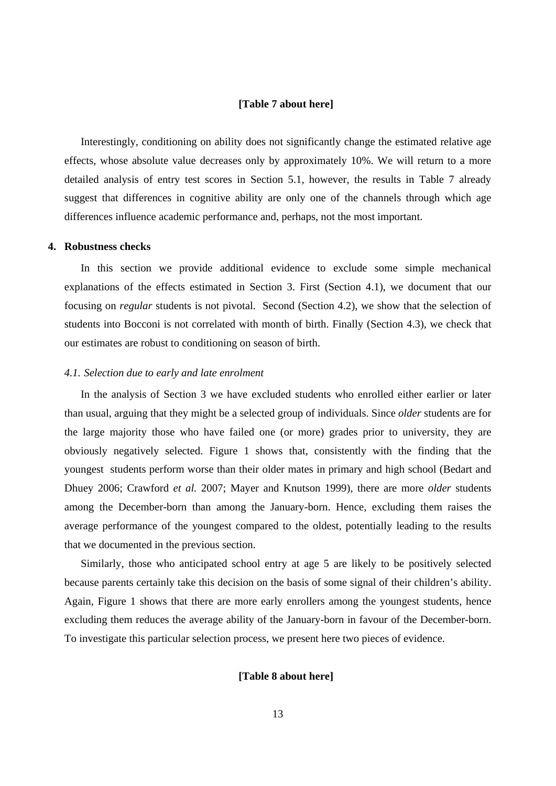### **[Table 7 about here]**

Interestingly, conditioning on ability does not significantly change the estimated relative age effects, whose absolute value decreases only by approximately 10%. We will return to a more detailed analysis of entry test scores in Section 5.1, however, the results in Table 7 already suggest that differences in cognitive ability are only one of the channels through which age differences influence academic performance and, perhaps, not the most important.

### **4. Robustness checks**

In this section we provide additional evidence to exclude some simple mechanical explanations of the effects estimated in Section 3. First (Section 4.1), we document that our focusing on *regular* students is not pivotal. Second (Section 4.2), we show that the selection of students into Bocconi is not correlated with month of birth. Finally (Section 4.3), we check that our estimates are robust to conditioning on season of birth.

### *4.1. Selection due to early and late enrolment*

In the analysis of Section 3 we have excluded students who enrolled either earlier or later than usual, arguing that they might be a selected group of individuals. Since *older* students are for the large majority those who have failed one (or more) grades prior to university, they are obviously negatively selected. Figure 1 shows that, consistently with the finding that the youngest students perform worse than their older mates in primary and high school (Bedart and Dhuey 2006; Crawford *et al.* 2007; Mayer and Knutson 1999), there are more *older* students among the December-born than among the January-born. Hence, excluding them raises the average performance of the youngest compared to the oldest, potentially leading to the results that we documented in the previous section.

Similarly, those who anticipated school entry at age 5 are likely to be positively selected because parents certainly take this decision on the basis of some signal of their children's ability. Again, Figure 1 shows that there are more early enrollers among the youngest students, hence excluding them reduces the average ability of the January-born in favour of the December-born. To investigate this particular selection process, we present here two pieces of evidence.

### **[Table 8 about here]**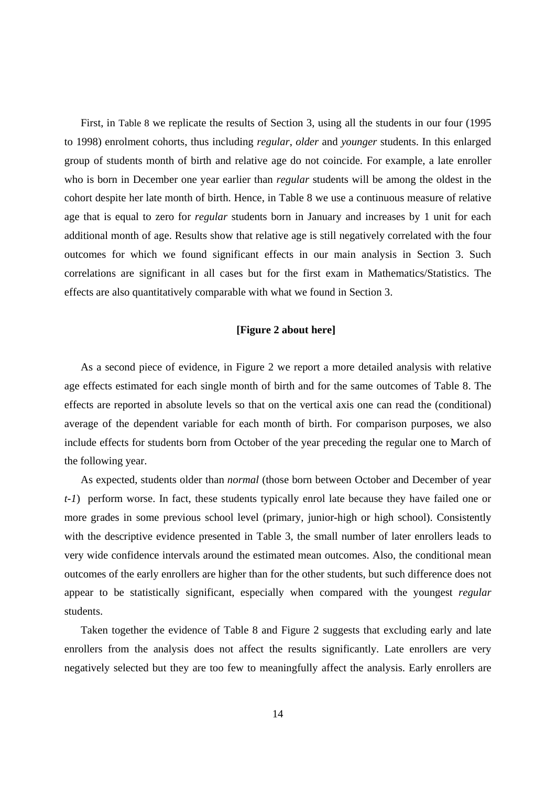First, in Table 8 we replicate the results of Section 3, using all the students in our four (1995 to 1998) enrolment cohorts, thus including *regular*, *older* and *younger* students. In this enlarged group of students month of birth and relative age do not coincide. For example, a late enroller who is born in December one year earlier than *regular* students will be among the oldest in the cohort despite her late month of birth. Hence, in Table 8 we use a continuous measure of relative age that is equal to zero for *regular* students born in January and increases by 1 unit for each additional month of age. Results show that relative age is still negatively correlated with the four outcomes for which we found significant effects in our main analysis in Section 3. Such correlations are significant in all cases but for the first exam in Mathematics/Statistics. The effects are also quantitatively comparable with what we found in Section 3.

### **[Figure 2 about here]**

As a second piece of evidence, in Figure 2 we report a more detailed analysis with relative age effects estimated for each single month of birth and for the same outcomes of Table 8. The effects are reported in absolute levels so that on the vertical axis one can read the (conditional) average of the dependent variable for each month of birth. For comparison purposes, we also include effects for students born from October of the year preceding the regular one to March of the following year.

As expected, students older than *normal* (those born between October and December of year *t-1*) perform worse. In fact, these students typically enrol late because they have failed one or more grades in some previous school level (primary, junior-high or high school). Consistently with the descriptive evidence presented in Table 3, the small number of later enrollers leads to very wide confidence intervals around the estimated mean outcomes. Also, the conditional mean outcomes of the early enrollers are higher than for the other students, but such difference does not appear to be statistically significant, especially when compared with the youngest *regular* students.

Taken together the evidence of Table 8 and Figure 2 suggests that excluding early and late enrollers from the analysis does not affect the results significantly. Late enrollers are very negatively selected but they are too few to meaningfully affect the analysis. Early enrollers are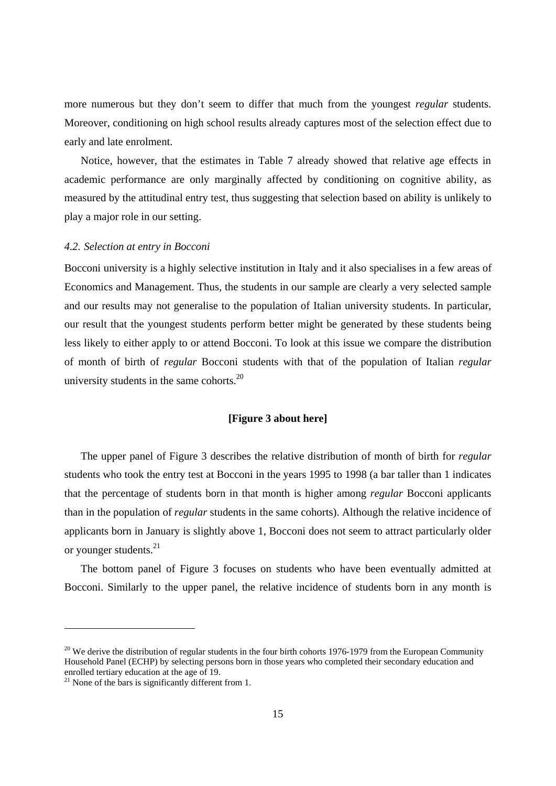more numerous but they don't seem to differ that much from the youngest *regular* students. Moreover, conditioning on high school results already captures most of the selection effect due to early and late enrolment.

Notice, however, that the estimates in Table 7 already showed that relative age effects in academic performance are only marginally affected by conditioning on cognitive ability, as measured by the attitudinal entry test, thus suggesting that selection based on ability is unlikely to play a major role in our setting.

### *4.2. Selection at entry in Bocconi*

Bocconi university is a highly selective institution in Italy and it also specialises in a few areas of Economics and Management. Thus, the students in our sample are clearly a very selected sample and our results may not generalise to the population of Italian university students. In particular, our result that the youngest students perform better might be generated by these students being less likely to either apply to or attend Bocconi. To look at this issue we compare the distribution of month of birth of *regular* Bocconi students with that of the population of Italian *regular* university students in the same cohorts. $^{20}$ 

### **[Figure 3 about here]**

The upper panel of Figure 3 describes the relative distribution of month of birth for *regular* students who took the entry test at Bocconi in the years 1995 to 1998 (a bar taller than 1 indicates that the percentage of students born in that month is higher among *regular* Bocconi applicants than in the population of *regular* students in the same cohorts). Although the relative incidence of applicants born in January is slightly above 1, Bocconi does not seem to attract particularly older or younger students.21

The bottom panel of Figure 3 focuses on students who have been eventually admitted at Bocconi. Similarly to the upper panel, the relative incidence of students born in any month is

-

<sup>&</sup>lt;sup>20</sup> We derive the distribution of regular students in the four birth cohorts 1976-1979 from the European Community Household Panel (ECHP) by selecting persons born in those years who completed their secondary education and enrolled tertiary education at the age of 19.

<sup>&</sup>lt;sup>21</sup> None of the bars is significantly different from 1.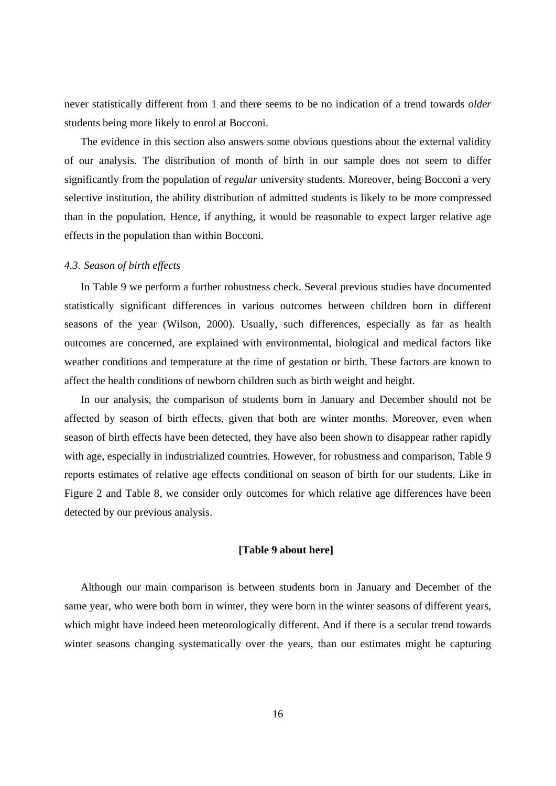never statistically different from 1 and there seems to be no indication of a trend towards *older* students being more likely to enrol at Bocconi.

The evidence in this section also answers some obvious questions about the external validity of our analysis. The distribution of month of birth in our sample does not seem to differ significantly from the population of *regular* university students. Moreover, being Bocconi a very selective institution, the ability distribution of admitted students is likely to be more compressed than in the population. Hence, if anything, it would be reasonable to expect larger relative age effects in the population than within Bocconi.

### *4.3. Season of birth effects*

In Table 9 we perform a further robustness check. Several previous studies have documented statistically significant differences in various outcomes between children born in different seasons of the year (Wilson, 2000). Usually, such differences, especially as far as health outcomes are concerned, are explained with environmental, biological and medical factors like weather conditions and temperature at the time of gestation or birth. These factors are known to affect the health conditions of newborn children such as birth weight and height.

In our analysis, the comparison of students born in January and December should not be affected by season of birth effects, given that both are winter months. Moreover, even when season of birth effects have been detected, they have also been shown to disappear rather rapidly with age, especially in industrialized countries. However, for robustness and comparison, Table 9 reports estimates of relative age effects conditional on season of birth for our students. Like in Figure 2 and Table 8, we consider only outcomes for which relative age differences have been detected by our previous analysis.

### **[Table 9 about here]**

Although our main comparison is between students born in January and December of the same year, who were both born in winter, they were born in the winter seasons of different years, which might have indeed been meteorologically different. And if there is a secular trend towards winter seasons changing systematically over the years, than our estimates might be capturing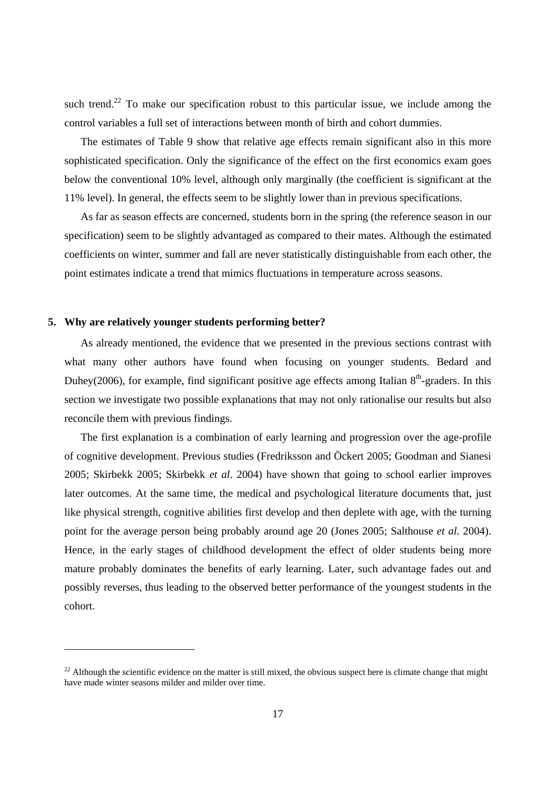such trend.<sup>22</sup> To make our specification robust to this particular issue, we include among the control variables a full set of interactions between month of birth and cohort dummies.

The estimates of Table 9 show that relative age effects remain significant also in this more sophisticated specification. Only the significance of the effect on the first economics exam goes below the conventional 10% level, although only marginally (the coefficient is significant at the 11% level). In general, the effects seem to be slightly lower than in previous specifications.

As far as season effects are concerned, students born in the spring (the reference season in our specification) seem to be slightly advantaged as compared to their mates. Although the estimated coefficients on winter, summer and fall are never statistically distinguishable from each other, the point estimates indicate a trend that mimics fluctuations in temperature across seasons.

### **5. Why are relatively younger students performing better?**

-

As already mentioned, the evidence that we presented in the previous sections contrast with what many other authors have found when focusing on younger students. Bedard and Duhey(2006), for example, find significant positive age effects among Italian  $8<sup>th</sup>$ -graders. In this section we investigate two possible explanations that may not only rationalise our results but also reconcile them with previous findings.

The first explanation is a combination of early learning and progression over the age-profile of cognitive development. Previous studies (Fredriksson and Öckert 2005; Goodman and Sianesi 2005; Skirbekk 2005; Skirbekk *et al*. 2004) have shown that going to school earlier improves later outcomes. At the same time, the medical and psychological literature documents that, just like physical strength, cognitive abilities first develop and then deplete with age, with the turning point for the average person being probably around age 20 (Jones 2005; Salthouse *et al.* 2004). Hence, in the early stages of childhood development the effect of older students being more mature probably dominates the benefits of early learning. Later, such advantage fades out and possibly reverses, thus leading to the observed better performance of the youngest students in the cohort.

 $^{22}$  Although the scientific evidence on the matter is still mixed, the obvious suspect here is climate change that might have made winter seasons milder and milder over time.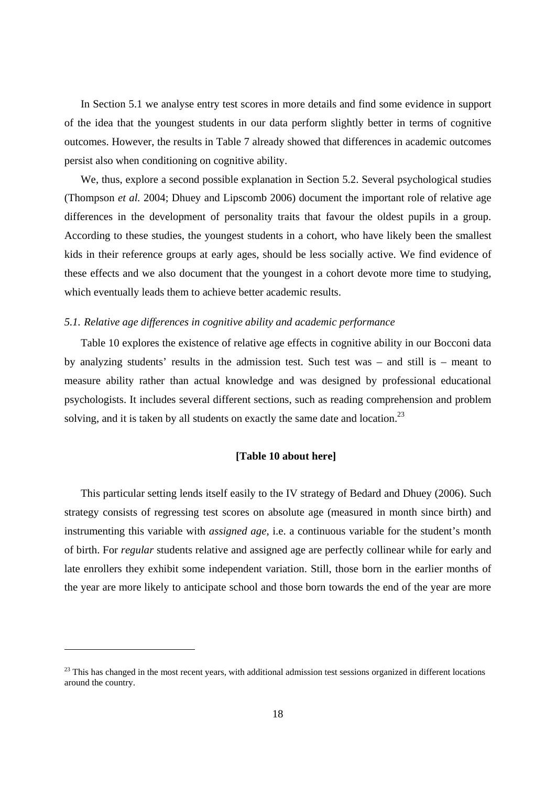In Section 5.1 we analyse entry test scores in more details and find some evidence in support of the idea that the youngest students in our data perform slightly better in terms of cognitive outcomes. However, the results in Table 7 already showed that differences in academic outcomes persist also when conditioning on cognitive ability.

We, thus, explore a second possible explanation in Section 5.2. Several psychological studies (Thompson *et al.* 2004; Dhuey and Lipscomb 2006) document the important role of relative age differences in the development of personality traits that favour the oldest pupils in a group. According to these studies, the youngest students in a cohort, who have likely been the smallest kids in their reference groups at early ages, should be less socially active. We find evidence of these effects and we also document that the youngest in a cohort devote more time to studying, which eventually leads them to achieve better academic results.

### *5.1. Relative age differences in cognitive ability and academic performance*

Table 10 explores the existence of relative age effects in cognitive ability in our Bocconi data by analyzing students' results in the admission test. Such test was – and still is – meant to measure ability rather than actual knowledge and was designed by professional educational psychologists. It includes several different sections, such as reading comprehension and problem solving, and it is taken by all students on exactly the same date and location.<sup>23</sup>

### **[Table 10 about here]**

This particular setting lends itself easily to the IV strategy of Bedard and Dhuey (2006). Such strategy consists of regressing test scores on absolute age (measured in month since birth) and instrumenting this variable with *assigned age*, i.e. a continuous variable for the student's month of birth. For *regular* students relative and assigned age are perfectly collinear while for early and late enrollers they exhibit some independent variation. Still, those born in the earlier months of the year are more likely to anticipate school and those born towards the end of the year are more

-

<sup>&</sup>lt;sup>23</sup> This has changed in the most recent years, with additional admission test sessions organized in different locations around the country.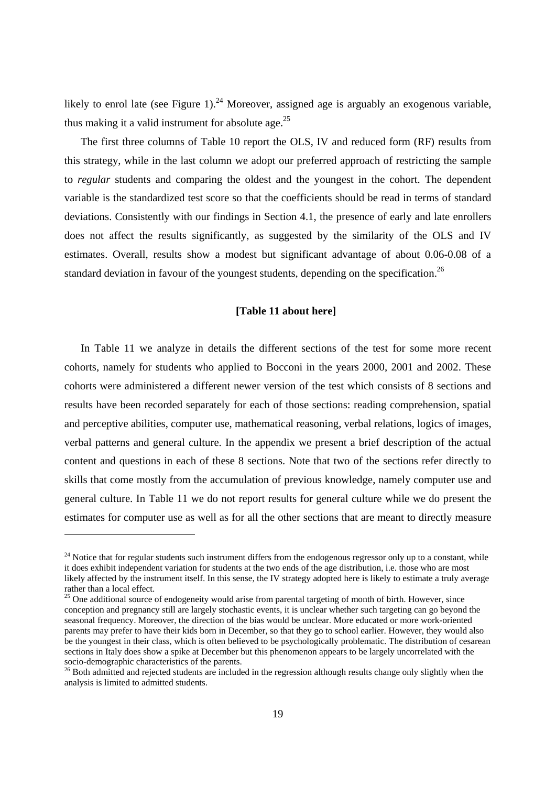likely to enrol late (see Figure 1).<sup>24</sup> Moreover, assigned age is arguably an exogenous variable, thus making it a valid instrument for absolute age.<sup>25</sup>

The first three columns of Table 10 report the OLS, IV and reduced form (RF) results from this strategy, while in the last column we adopt our preferred approach of restricting the sample to *regular* students and comparing the oldest and the youngest in the cohort. The dependent variable is the standardized test score so that the coefficients should be read in terms of standard deviations. Consistently with our findings in Section 4.1, the presence of early and late enrollers does not affect the results significantly, as suggested by the similarity of the OLS and IV estimates. Overall, results show a modest but significant advantage of about 0.06-0.08 of a standard deviation in favour of the youngest students, depending on the specification.<sup>26</sup>

### **[Table 11 about here]**

In Table 11 we analyze in details the different sections of the test for some more recent cohorts, namely for students who applied to Bocconi in the years 2000, 2001 and 2002. These cohorts were administered a different newer version of the test which consists of 8 sections and results have been recorded separately for each of those sections: reading comprehension, spatial and perceptive abilities, computer use, mathematical reasoning, verbal relations, logics of images, verbal patterns and general culture. In the appendix we present a brief description of the actual content and questions in each of these 8 sections. Note that two of the sections refer directly to skills that come mostly from the accumulation of previous knowledge, namely computer use and general culture. In Table 11 we do not report results for general culture while we do present the estimates for computer use as well as for all the other sections that are meant to directly measure

-

<sup>&</sup>lt;sup>24</sup> Notice that for regular students such instrument differs from the endogenous regressor only up to a constant, while it does exhibit independent variation for students at the two ends of the age distribution, i.e. those who are most likely affected by the instrument itself. In this sense, the IV strategy adopted here is likely to estimate a truly average rather than a local effect.

 $25$  One additional source of endogeneity would arise from parental targeting of month of birth. However, since conception and pregnancy still are largely stochastic events, it is unclear whether such targeting can go beyond the seasonal frequency. Moreover, the direction of the bias would be unclear. More educated or more work-oriented parents may prefer to have their kids born in December, so that they go to school earlier. However, they would also be the youngest in their class, which is often believed to be psychologically problematic. The distribution of cesarean sections in Italy does show a spike at December but this phenomenon appears to be largely uncorrelated with the socio-demographic characteristics of the parents.

<sup>&</sup>lt;sup>26</sup> Both admitted and rejected students are included in the regression although results change only slightly when the analysis is limited to admitted students.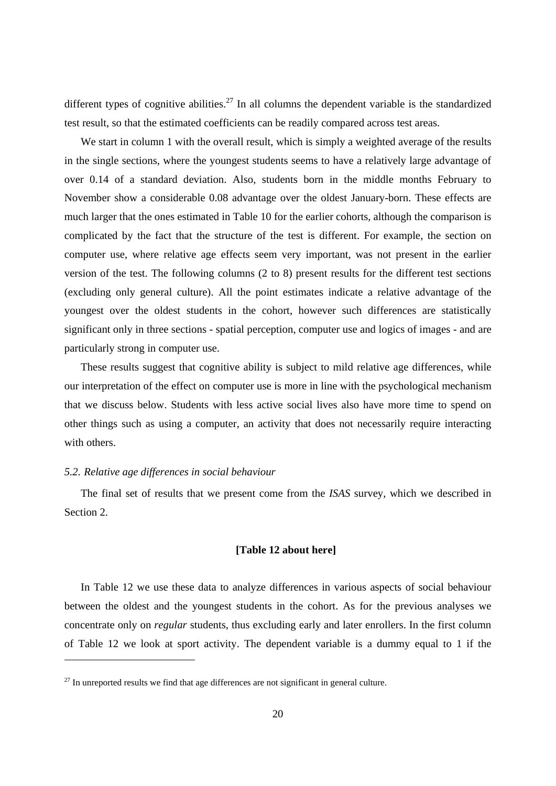different types of cognitive abilities.<sup>27</sup> In all columns the dependent variable is the standardized test result, so that the estimated coefficients can be readily compared across test areas.

We start in column 1 with the overall result, which is simply a weighted average of the results in the single sections, where the youngest students seems to have a relatively large advantage of over 0.14 of a standard deviation. Also, students born in the middle months February to November show a considerable 0.08 advantage over the oldest January-born. These effects are much larger that the ones estimated in Table 10 for the earlier cohorts, although the comparison is complicated by the fact that the structure of the test is different. For example, the section on computer use, where relative age effects seem very important, was not present in the earlier version of the test. The following columns (2 to 8) present results for the different test sections (excluding only general culture). All the point estimates indicate a relative advantage of the youngest over the oldest students in the cohort, however such differences are statistically significant only in three sections - spatial perception, computer use and logics of images - and are particularly strong in computer use.

These results suggest that cognitive ability is subject to mild relative age differences, while our interpretation of the effect on computer use is more in line with the psychological mechanism that we discuss below. Students with less active social lives also have more time to spend on other things such as using a computer, an activity that does not necessarily require interacting with others.

### *5.2. Relative age differences in social behaviour*

1

The final set of results that we present come from the *ISAS* survey, which we described in Section 2.

### **[Table 12 about here]**

In Table 12 we use these data to analyze differences in various aspects of social behaviour between the oldest and the youngest students in the cohort. As for the previous analyses we concentrate only on *regular* students, thus excluding early and later enrollers. In the first column of Table 12 we look at sport activity. The dependent variable is a dummy equal to 1 if the

 $27$  In unreported results we find that age differences are not significant in general culture.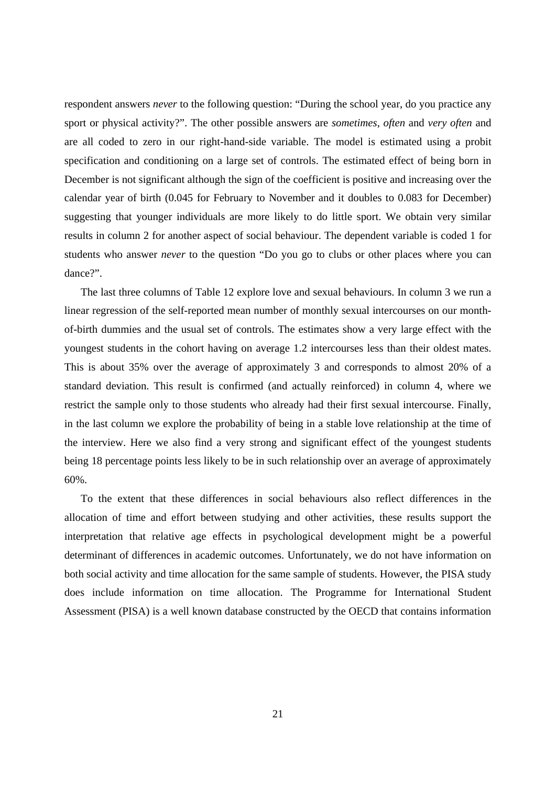respondent answers *never* to the following question: "During the school year, do you practice any sport or physical activity?". The other possible answers are *sometimes*, *often* and *very often* and are all coded to zero in our right-hand-side variable. The model is estimated using a probit specification and conditioning on a large set of controls. The estimated effect of being born in December is not significant although the sign of the coefficient is positive and increasing over the calendar year of birth (0.045 for February to November and it doubles to 0.083 for December) suggesting that younger individuals are more likely to do little sport. We obtain very similar results in column 2 for another aspect of social behaviour. The dependent variable is coded 1 for students who answer *never* to the question "Do you go to clubs or other places where you can dance?".

The last three columns of Table 12 explore love and sexual behaviours. In column 3 we run a linear regression of the self-reported mean number of monthly sexual intercourses on our monthof-birth dummies and the usual set of controls. The estimates show a very large effect with the youngest students in the cohort having on average 1.2 intercourses less than their oldest mates. This is about 35% over the average of approximately 3 and corresponds to almost 20% of a standard deviation. This result is confirmed (and actually reinforced) in column 4, where we restrict the sample only to those students who already had their first sexual intercourse. Finally, in the last column we explore the probability of being in a stable love relationship at the time of the interview. Here we also find a very strong and significant effect of the youngest students being 18 percentage points less likely to be in such relationship over an average of approximately 60%.

To the extent that these differences in social behaviours also reflect differences in the allocation of time and effort between studying and other activities, these results support the interpretation that relative age effects in psychological development might be a powerful determinant of differences in academic outcomes. Unfortunately, we do not have information on both social activity and time allocation for the same sample of students. However, the PISA study does include information on time allocation. The Programme for International Student Assessment (PISA) is a well known database constructed by the OECD that contains information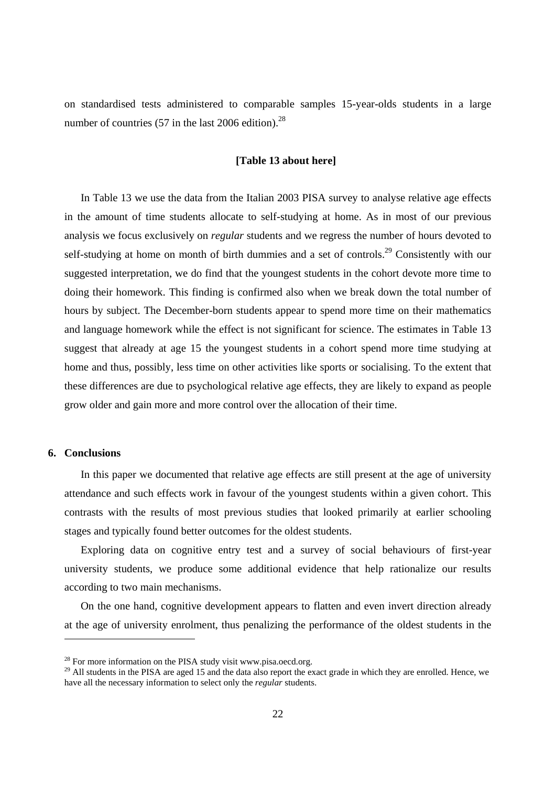on standardised tests administered to comparable samples 15-year-olds students in a large number of countries  $(57 \text{ in the last } 2006 \text{ edition})^{28}$ 

### **[Table 13 about here]**

In Table 13 we use the data from the Italian 2003 PISA survey to analyse relative age effects in the amount of time students allocate to self-studying at home. As in most of our previous analysis we focus exclusively on *regular* students and we regress the number of hours devoted to self-studying at home on month of birth dummies and a set of controls.<sup>29</sup> Consistently with our suggested interpretation, we do find that the youngest students in the cohort devote more time to doing their homework. This finding is confirmed also when we break down the total number of hours by subject. The December-born students appear to spend more time on their mathematics and language homework while the effect is not significant for science. The estimates in Table 13 suggest that already at age 15 the youngest students in a cohort spend more time studying at home and thus, possibly, less time on other activities like sports or socialising. To the extent that these differences are due to psychological relative age effects, they are likely to expand as people grow older and gain more and more control over the allocation of their time.

### **6. Conclusions**

-

In this paper we documented that relative age effects are still present at the age of university attendance and such effects work in favour of the youngest students within a given cohort. This contrasts with the results of most previous studies that looked primarily at earlier schooling stages and typically found better outcomes for the oldest students.

Exploring data on cognitive entry test and a survey of social behaviours of first-year university students, we produce some additional evidence that help rationalize our results according to two main mechanisms.

On the one hand, cognitive development appears to flatten and even invert direction already at the age of university enrolment, thus penalizing the performance of the oldest students in the

<sup>&</sup>lt;sup>28</sup> For more information on the PISA study visit www.pisa.oecd.org.

<sup>&</sup>lt;sup>29</sup> All students in the PISA are aged 15 and the data also report the exact grade in which they are enrolled. Hence, we have all the necessary information to select only the *regular* students.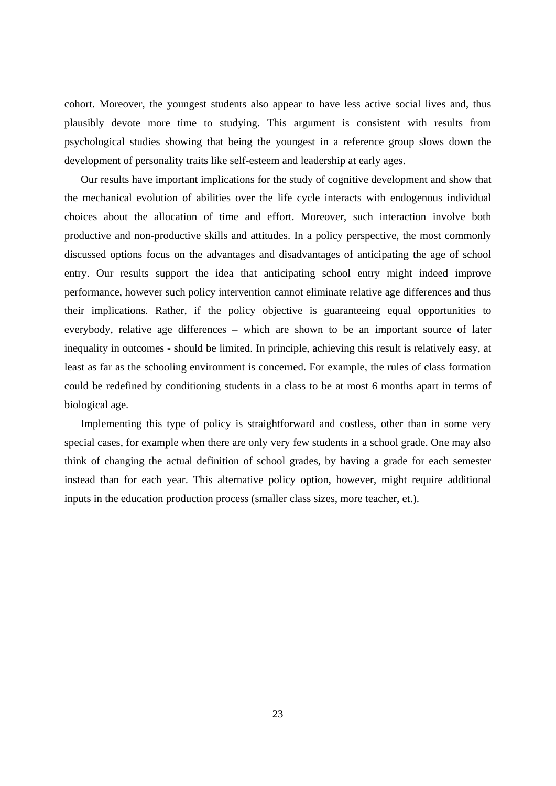cohort. Moreover, the youngest students also appear to have less active social lives and, thus plausibly devote more time to studying. This argument is consistent with results from psychological studies showing that being the youngest in a reference group slows down the development of personality traits like self-esteem and leadership at early ages.

Our results have important implications for the study of cognitive development and show that the mechanical evolution of abilities over the life cycle interacts with endogenous individual choices about the allocation of time and effort. Moreover, such interaction involve both productive and non-productive skills and attitudes. In a policy perspective, the most commonly discussed options focus on the advantages and disadvantages of anticipating the age of school entry. Our results support the idea that anticipating school entry might indeed improve performance, however such policy intervention cannot eliminate relative age differences and thus their implications. Rather, if the policy objective is guaranteeing equal opportunities to everybody, relative age differences – which are shown to be an important source of later inequality in outcomes - should be limited. In principle, achieving this result is relatively easy, at least as far as the schooling environment is concerned. For example, the rules of class formation could be redefined by conditioning students in a class to be at most 6 months apart in terms of biological age.

Implementing this type of policy is straightforward and costless, other than in some very special cases, for example when there are only very few students in a school grade. One may also think of changing the actual definition of school grades, by having a grade for each semester instead than for each year. This alternative policy option, however, might require additional inputs in the education production process (smaller class sizes, more teacher, et.).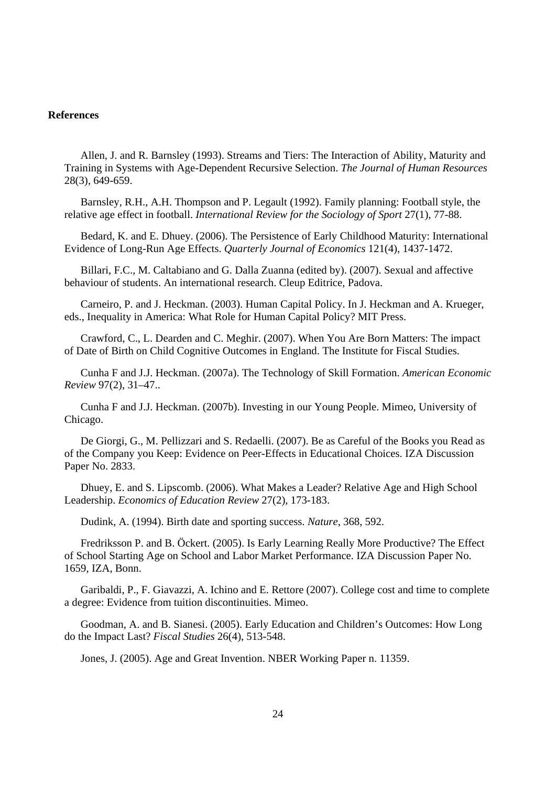### **References**

Allen, J. and R. Barnsley (1993). Streams and Tiers: The Interaction of Ability, Maturity and Training in Systems with Age-Dependent Recursive Selection. *The Journal of Human Resources* 28(3), 649-659.

Barnsley, R.H., A.H. Thompson and P. Legault (1992). Family planning: Football style, the relative age effect in football. *International Review for the Sociology of Sport* 27(1), 77-88.

Bedard, K. and E. Dhuey. (2006). The Persistence of Early Childhood Maturity: International Evidence of Long-Run Age Effects. *Quarterly Journal of Economics* 121(4), 1437-1472.

Billari, F.C., M. Caltabiano and G. Dalla Zuanna (edited by). (2007). Sexual and affective behaviour of students. An international research. Cleup Editrice, Padova.

Carneiro, P. and J. Heckman. (2003). Human Capital Policy. In J. Heckman and A. Krueger, eds., Inequality in America: What Role for Human Capital Policy? MIT Press.

Crawford, C., L. Dearden and C. Meghir. (2007). When You Are Born Matters: The impact of Date of Birth on Child Cognitive Outcomes in England. The Institute for Fiscal Studies.

Cunha F and J.J. Heckman. (2007a). The Technology of Skill Formation. *American Economic Review* 97(2), 31–47..

Cunha F and J.J. Heckman. (2007b). Investing in our Young People. Mimeo, University of Chicago.

De Giorgi, G., M. Pellizzari and S. Redaelli. (2007). Be as Careful of the Books you Read as of the Company you Keep: Evidence on Peer-Effects in Educational Choices. IZA Discussion Paper No. 2833.

Dhuey, E. and S. Lipscomb. (2006). What Makes a Leader? Relative Age and High School Leadership. *Economics of Education Review* 27(2), 173-183.

Dudink, A. (1994). Birth date and sporting success. *Nature*, 368, 592.

Fredriksson P. and B. Öckert. (2005). Is Early Learning Really More Productive? The Effect of School Starting Age on School and Labor Market Performance. IZA Discussion Paper No. 1659, IZA, Bonn.

Garibaldi, P., F. Giavazzi, A. Ichino and E. Rettore (2007). College cost and time to complete a degree: Evidence from tuition discontinuities. Mimeo.

Goodman, A. and B. Sianesi. (2005). Early Education and Children's Outcomes: How Long do the Impact Last? *Fiscal Studies* 26(4), 513-548.

Jones, J. (2005). Age and Great Invention. NBER Working Paper n. 11359.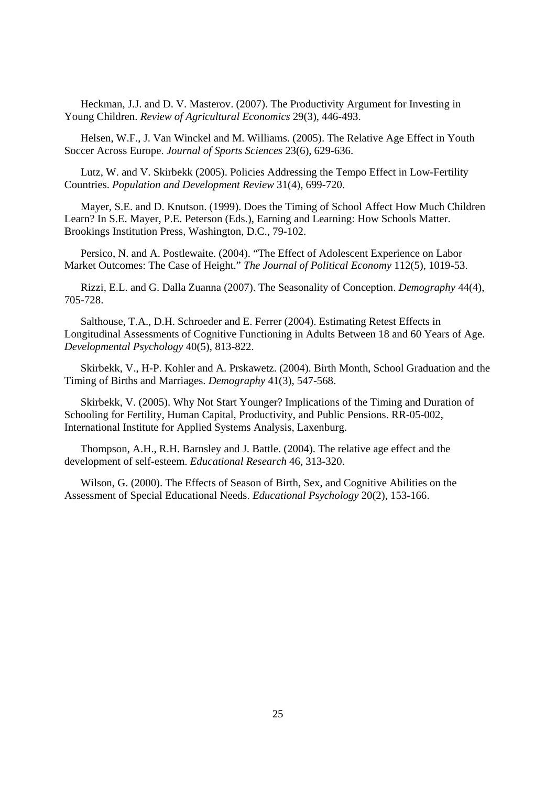Heckman, J.J. and D. V. Masterov. (2007). The Productivity Argument for Investing in Young Children. *Review of Agricultural Economics* 29(3), 446-493.

Helsen, W.F., J. Van Winckel and M. Williams. (2005). The Relative Age Effect in Youth Soccer Across Europe. *Journal of Sports Sciences* 23(6), 629-636.

Lutz, W. and V. Skirbekk (2005). Policies Addressing the Tempo Effect in Low-Fertility Countries. *Population and Development Review* 31(4), 699-720.

Mayer, S.E. and D. Knutson. (1999). Does the Timing of School Affect How Much Children Learn? In S.E. Mayer, P.E. Peterson (Eds.), Earning and Learning: How Schools Matter. Brookings Institution Press, Washington, D.C., 79-102.

Persico, N. and A. Postlewaite. (2004). "The Effect of Adolescent Experience on Labor Market Outcomes: The Case of Height." *The Journal of Political Economy* 112(5), 1019-53.

Rizzi, E.L. and G. Dalla Zuanna (2007). The Seasonality of Conception. *Demography* 44(4), 705-728.

Salthouse, T.A., D.H. Schroeder and E. Ferrer (2004). Estimating Retest Effects in Longitudinal Assessments of Cognitive Functioning in Adults Between 18 and 60 Years of Age. *Developmental Psychology* 40(5), 813-822.

Skirbekk, V., H-P. Kohler and A. Prskawetz. (2004). Birth Month, School Graduation and the Timing of Births and Marriages. *Demography* 41(3), 547-568.

Skirbekk, V. (2005). Why Not Start Younger? Implications of the Timing and Duration of Schooling for Fertility, Human Capital, Productivity, and Public Pensions. RR-05-002, International Institute for Applied Systems Analysis, Laxenburg.

Thompson, A.H., R.H. Barnsley and J. Battle. (2004). The relative age effect and the development of self-esteem. *Educational Research* 46, 313-320.

Wilson, G. (2000). The Effects of Season of Birth, Sex, and Cognitive Abilities on the Assessment of Special Educational Needs. *Educational Psychology* 20(2), 153-166.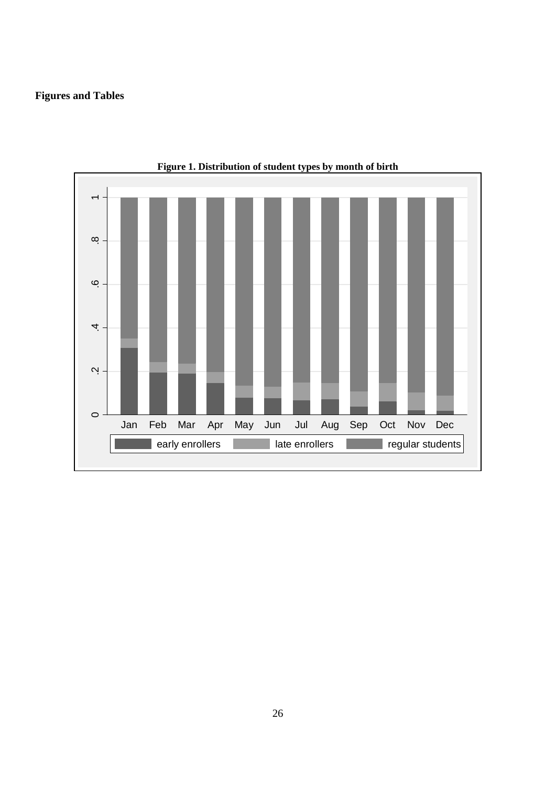# **Figures and Tables**



**Figure 1. Distribution of student types by month of birth**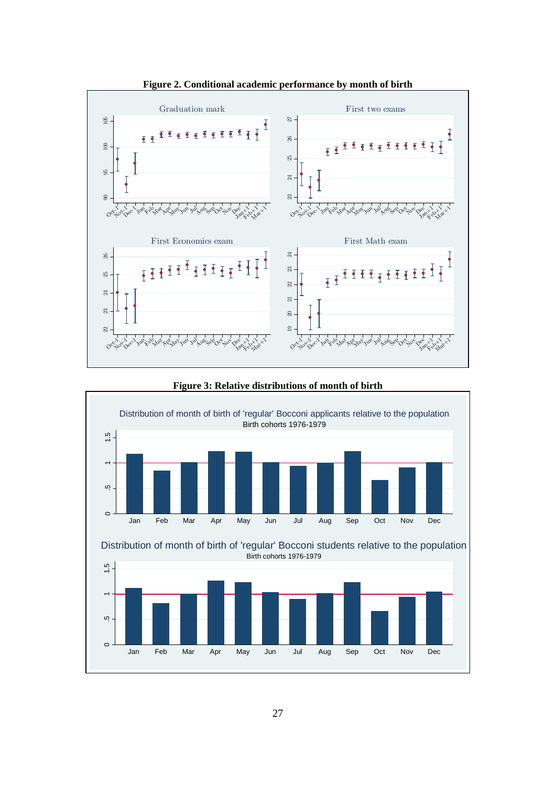

**Figure 2. Conditional academic performance by month of birth** 



**Figure 3: Relative distributions of month of birth** 

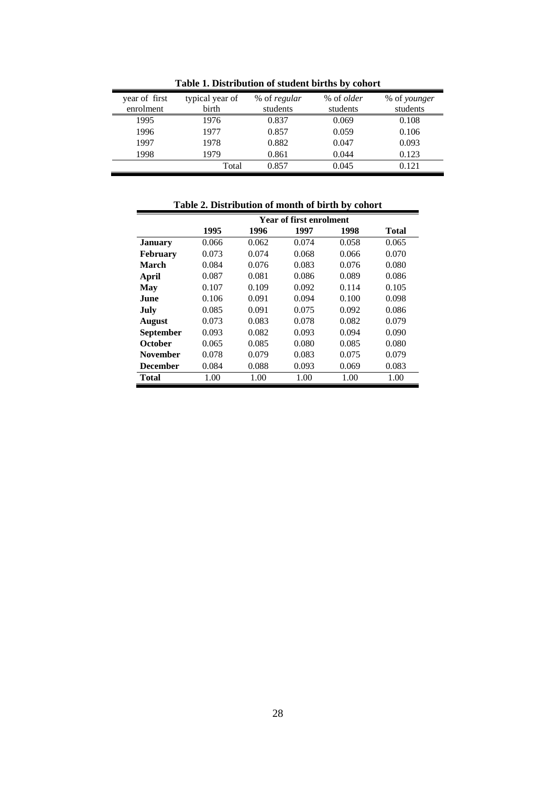| year of first<br>enrolment | typical year of<br>birth | % of regular<br>students | % of <i>older</i><br>students | % of younger<br>students |
|----------------------------|--------------------------|--------------------------|-------------------------------|--------------------------|
| 1995                       | 1976                     | 0.837                    | 0.069                         | 0.108                    |
| 1996                       | 1977                     | 0.857                    | 0.059                         | 0.106                    |
| 1997                       | 1978                     | 0.882                    | 0.047                         | 0.093                    |
| 1998                       | 1979                     | 0.861                    | 0.044                         | 0.123                    |
|                            | Total                    | 0.857                    | 0.045                         | 0.121                    |

**Table 1. Distribution of student births by cohort** 

| Table 2. Distribution of month of birth by cohort |       |       |                                |       |       |  |  |
|---------------------------------------------------|-------|-------|--------------------------------|-------|-------|--|--|
|                                                   |       |       | <b>Year of first enrolment</b> |       |       |  |  |
|                                                   | 1995  | 1996  | 1997                           | 1998  | Total |  |  |
| <b>January</b>                                    | 0.066 | 0.062 | 0.074                          | 0.058 | 0.065 |  |  |
| <b>February</b>                                   | 0.073 | 0.074 | 0.068                          | 0.066 | 0.070 |  |  |
| <b>March</b>                                      | 0.084 | 0.076 | 0.083                          | 0.076 | 0.080 |  |  |
| April                                             | 0.087 | 0.081 | 0.086                          | 0.089 | 0.086 |  |  |
| May                                               | 0.107 | 0.109 | 0.092                          | 0.114 | 0.105 |  |  |
| June                                              | 0.106 | 0.091 | 0.094                          | 0.100 | 0.098 |  |  |
| July                                              | 0.085 | 0.091 | 0.075                          | 0.092 | 0.086 |  |  |
| <b>August</b>                                     | 0.073 | 0.083 | 0.078                          | 0.082 | 0.079 |  |  |
| <b>September</b>                                  | 0.093 | 0.082 | 0.093                          | 0.094 | 0.090 |  |  |
| October                                           | 0.065 | 0.085 | 0.080                          | 0.085 | 0.080 |  |  |
| <b>November</b>                                   | 0.078 | 0.079 | 0.083                          | 0.075 | 0.079 |  |  |
| <b>December</b>                                   | 0.084 | 0.088 | 0.093                          | 0.069 | 0.083 |  |  |
| <b>Total</b>                                      | 1.00  | 1.00  | 1.00                           | 1.00  | 1.00  |  |  |

28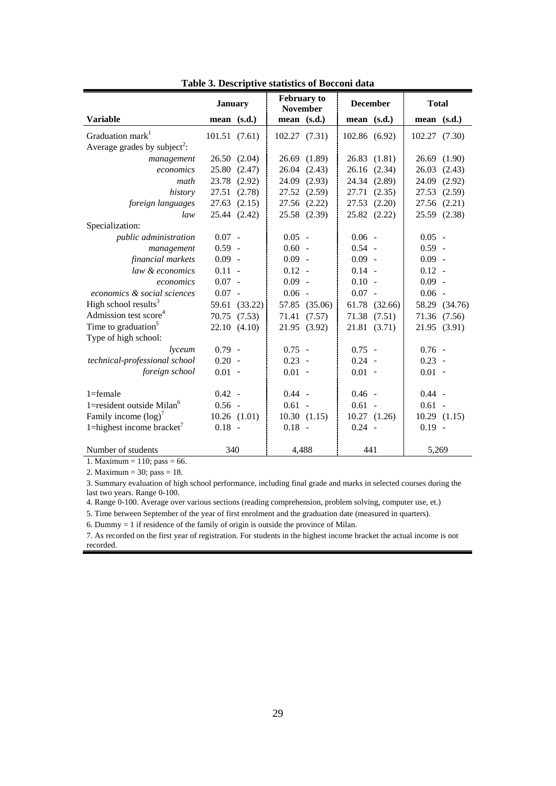|                                          | <b>January</b> |                  | <b>February</b> to<br><b>November</b> |              | <b>December</b> |              | <b>Total</b>  |               |
|------------------------------------------|----------------|------------------|---------------------------------------|--------------|-----------------|--------------|---------------|---------------|
| <b>Variable</b>                          | mean $(s.d.)$  |                  | $mean$ $(s.d.)$                       |              | mean (s.d.)     |              | mean $(s.d.)$ |               |
| Graduation mark <sup>1</sup>             | 101.51(7.61)   |                  | 102.27 (7.31)                         |              | 102.86 (6.92)   |              | 102.27 (7.30) |               |
| Average grades by subject <sup>2</sup> : |                |                  |                                       |              |                 |              |               |               |
| management                               |                | 26.50(2.04)      | 26.69                                 | (1.89)       | 26.83           | (1.81)       |               | 26.69 (1.90)  |
| economics                                | 25.80          | (2.47)           | 26.04                                 | (2.43)       | 26.16           | (2.34)       | 26.03         | (2.43)        |
| math                                     |                | 23.78 (2.92)     | 24.09                                 | (2.93)       | 24.34           | (2.89)       |               | 24.09 (2.92)  |
| history                                  |                | 27.51 (2.78)     | 27.52                                 | (2.59)       | 27.71           | (2.35)       |               | 27.53 (2.59)  |
| foreign languages                        | 27.63          | (2.15)           | 27.56                                 | (2.22)       | 27.53           | (2.20)       |               | 27.56 (2.21)  |
| law                                      |                | 25.44 (2.42)     |                                       | 25.58 (2.39) |                 | 25.82 (2.22) |               | 25.59 (2.38)  |
| Specialization:                          |                |                  |                                       |              |                 |              |               |               |
| public administration                    | $0.07 -$       |                  | $0.05 -$                              |              | $0.06 -$        |              | $0.05 -$      |               |
| management                               | $0.59 -$       |                  | $0.60 -$                              |              | $0.54 -$        |              | $0.59 -$      |               |
| financial markets                        | $0.09 -$       |                  | $0.09 -$                              |              | $0.09 -$        |              | $0.09 -$      |               |
| law & economics                          | $0.11 -$       |                  | $0.12 -$                              |              | $0.14 -$        |              | $0.12 -$      |               |
| economics                                | $0.07 -$       |                  | $0.09 -$                              |              | $0.10 -$        |              | $0.09 -$      |               |
| economics & social sciences              | $0.07 -$       |                  | 0.06                                  | $\sim$       | $0.07 -$        |              | $0.06 -$      |               |
| High school results <sup>3</sup>         |                | 59.61 (33.22)    | 57.85                                 | (35.06)      | 61.78           | (32.66)      |               | 58.29 (34.76) |
| Admission test score <sup>4</sup>        | 70.75          | (7.53)           | 71.41                                 | (7.57)       |                 | 71.38 (7.51) |               | 71.36 (7.56)  |
| Time to graduation <sup>5</sup>          |                | 22.10(4.10)      |                                       | 21.95 (3.92) |                 | 21.81 (3.71) |               | 21.95 (3.91)  |
| Type of high school:                     |                |                  |                                       |              |                 |              |               |               |
| <i>lyceum</i>                            | $0.79 -$       |                  | $0.75 -$                              |              | $0.75 -$        |              | $0.76 -$      |               |
| technical-professional school            | $0.20 -$       |                  | $0.23 -$                              |              | $0.24 -$        |              | $0.23 -$      |               |
| foreign school                           | $0.01 -$       |                  | $0.01 -$                              |              | $0.01 -$        |              | $0.01 -$      |               |
|                                          |                |                  |                                       |              |                 |              |               |               |
| $1 =$ female                             | $0.42 -$       |                  | $0.44 -$                              |              | $0.46 -$        |              | $0.44 -$      |               |
| 1=resident outside Milan <sup>6</sup>    | $0.56 -$       |                  | $0.61 -$                              |              | $0.61 -$        |              | $0.61 -$      |               |
| Family income $(log)^7$                  |                | $10.26$ $(1.01)$ |                                       | 10.30(1.15)  |                 | 10.27(1.26)  |               | 10.29(1.15)   |
| 1=highest income bracket $^7$            | $0.18 -$       |                  | $0.18 -$                              |              | $0.24 -$        |              | $0.19 -$      |               |
| Number of students                       | 340            |                  | 4,488                                 |              | 441             |              | 5,269         |               |

**Table 3. Descriptive statistics of Bocconi data** 

1. Maximum =  $110$ ; pass = 66.

2. Maximum = 30; pass = 18.

3. Summary evaluation of high school performance, including final grade and marks in selected courses during the last two years. Range 0-100.

4. Range 0-100. Average over various sections (reading comprehension, problem solving, computer use, et.)

5. Time between September of the year of first enrolment and the graduation date (measured in quarters).

6. Dummy = 1 if residence of the family of origin is outside the province of Milan.

7. As recorded on the first year of registration. For students in the highest income bracket the actual income is not recorded.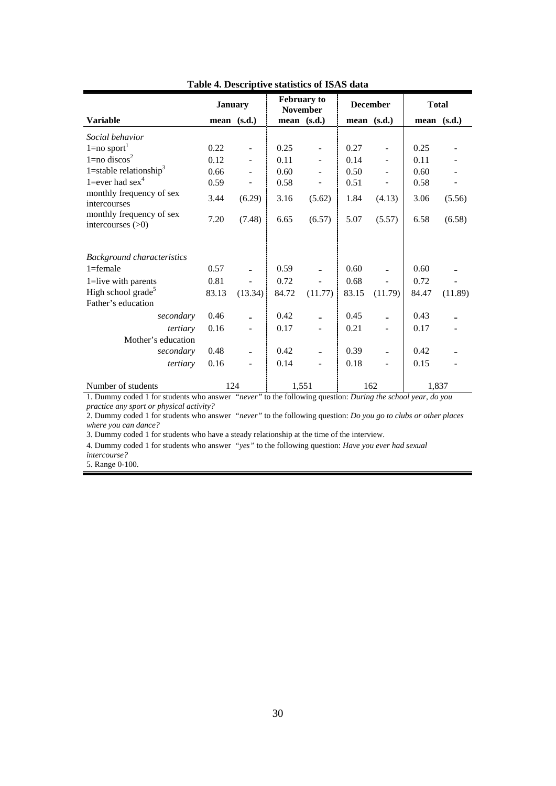|                                               | <b>January</b> |         | <b>February to</b><br><b>November</b> |         | <b>December</b> |                          | <b>Total</b> |             |
|-----------------------------------------------|----------------|---------|---------------------------------------|---------|-----------------|--------------------------|--------------|-------------|
| <b>Variable</b>                               | mean (s.d.)    |         | mean $(s.d.)$                         |         |                 | mean $(s.d.)$            |              | mean (s.d.) |
| Social behavior                               |                |         |                                       |         |                 |                          |              |             |
| $1 = no$ sport <sup>1</sup>                   | 0.22           |         | 0.25                                  |         | 0.27            |                          | 0.25         |             |
| $1 = no$ discos <sup>2</sup>                  | 0.12           |         | 0.11                                  |         | 0.14            |                          | 0.11         |             |
| 1=stable relationship <sup>3</sup>            | 0.66           |         | 0.60                                  |         | 0.50            |                          | 0.60         |             |
| 1=ever had $sex4$                             | 0.59           |         | 0.58                                  |         | 0.51            |                          | 0.58         |             |
| monthly frequency of sex<br>intercourses      | 3.44           | (6.29)  | 3.16                                  | (5.62)  | 1.84            | (4.13)                   | 3.06         | (5.56)      |
| monthly frequency of sex<br>intercourses (>0) | 7.20           | (7.48)  | 6.65                                  | (6.57)  | 5.07            | (5.57)                   | 6.58         | (6.58)      |
| <b>Background characteristics</b>             |                |         |                                       |         |                 |                          |              |             |
| $1 =$ female                                  | 0.57           |         | 0.59                                  |         | 0.60            |                          | 0.60         |             |
| 1=live with parents                           | 0.81           |         | 0.72                                  |         | 0.68            |                          | 0.72         |             |
| High school grade <sup>5</sup>                | 83.13          | (13.34) | 84.72                                 | (11.77) | 83.15           | (11.79)                  | 84.47        | (11.89)     |
| Father's education                            |                |         |                                       |         |                 |                          |              |             |
| secondary                                     | 0.46           |         | 0.42                                  |         | 0.45            |                          | 0.43         |             |
| tertiary                                      | 0.16           |         | 0.17                                  |         | 0.21            |                          | 0.17         |             |
| Mother's education                            |                |         |                                       |         |                 |                          |              |             |
| secondary                                     | 0.48           |         | 0.42                                  |         | 0.39            |                          | 0.42         |             |
| tertiary                                      | 0.16           |         | 0.14                                  |         | 0.18            | $\overline{\phantom{0}}$ | 0.15         |             |
| Number of students                            | 124            |         | 1,551                                 |         |                 | 162                      | 1,837        |             |

**Table 4. Descriptive statistics of ISAS data** 

1. Dummy coded 1 for students who answer *"never"* to the following question: *During the school year, do you practice any sport or physical activity?*

2. Dummy coded 1 for students who answer *"never"* to the following question: *Do you go to clubs or other places where you can dance?*

3. Dummy coded 1 for students who have a steady relationship at the time of the interview.

4. Dummy coded 1 for students who answer *"yes"* to the following question: *Have you ever had sexual* 

*intercourse?* 5. Range 0-100.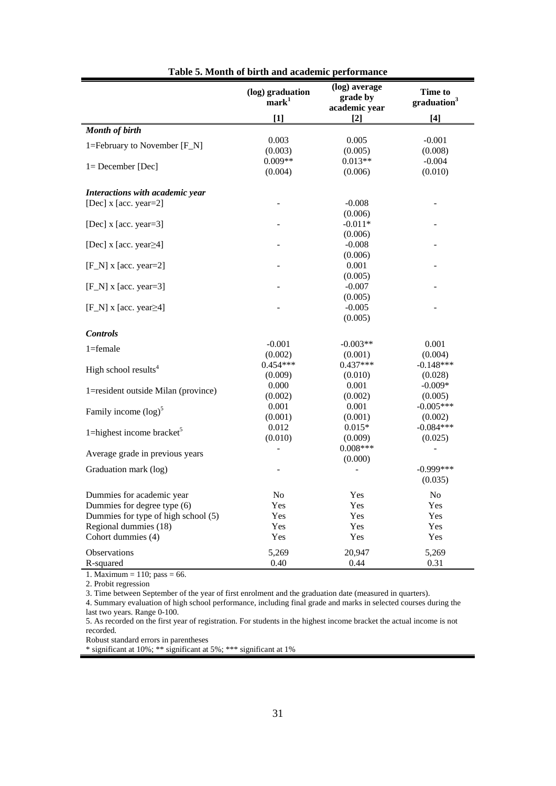|                                             | (log) graduation<br>mark <sup>1</sup> | (log) average<br>grade by<br>academic year | <b>Time to</b><br>graduation <sup>3</sup> |
|---------------------------------------------|---------------------------------------|--------------------------------------------|-------------------------------------------|
|                                             | $[1]$                                 | $[2]$                                      | $[4]$                                     |
| <b>Month of birth</b>                       |                                       |                                            |                                           |
| 1=February to November [F_N]                | 0.003                                 | 0.005                                      | $-0.001$                                  |
|                                             | (0.003)                               | (0.005)                                    | (0.008)                                   |
| $l = December [Dec]$                        | $0.009**$                             | $0.013**$                                  | $-0.004$                                  |
|                                             | (0.004)                               | (0.006)                                    | (0.010)                                   |
| Interactions with academic year             |                                       |                                            |                                           |
| [Dec] x [acc. year=2]                       |                                       | $-0.008$                                   |                                           |
|                                             |                                       | (0.006)                                    |                                           |
| [Dec] x [acc. year=3]                       |                                       | $-0.011*$                                  |                                           |
|                                             |                                       | (0.006)                                    |                                           |
| [Dec] $x$ [acc. year $\geq$ 4]              |                                       | $-0.008$                                   |                                           |
|                                             |                                       | (0.006)                                    |                                           |
| $[F_N]$ x [acc. year=2]                     |                                       | 0.001                                      |                                           |
|                                             |                                       | (0.005)                                    |                                           |
| $[F_N]$ x [acc. year=3]                     |                                       | $-0.007$                                   |                                           |
|                                             |                                       | (0.005)                                    |                                           |
| [ $F_N$ ] x [acc. year $\geq 4$ ]           |                                       | $-0.005$                                   |                                           |
|                                             |                                       | (0.005)                                    |                                           |
| <b>Controls</b>                             |                                       |                                            |                                           |
| $1 =$ female                                | $-0.001$                              | $-0.003**$                                 | 0.001                                     |
|                                             | (0.002)                               | (0.001)                                    | (0.004)                                   |
| High school results <sup>4</sup>            | $0.454***$                            | $0.437***$                                 | $-0.148***$                               |
|                                             | (0.009)                               | (0.010)                                    | (0.028)                                   |
| 1=resident outside Milan (province)         | 0.000                                 | 0.001                                      | $-0.009*$                                 |
|                                             | (0.002)                               | (0.002)                                    | (0.005)                                   |
| Family income $(log)^5$                     | 0.001                                 | 0.001                                      | $-0.005***$                               |
|                                             | (0.001)                               | (0.001)<br>$0.015*$                        | (0.002)<br>$-0.084***$                    |
| 1=highest income bracket $5$                | 0.012<br>(0.010)                      | (0.009)                                    | (0.025)                                   |
|                                             | $\overline{a}$                        | $0.008***$                                 | $\overline{a}$                            |
| Average grade in previous years             |                                       | (0.000)                                    |                                           |
| Graduation mark (log)                       |                                       |                                            | $-0.999***$                               |
|                                             |                                       |                                            | (0.035)                                   |
|                                             |                                       |                                            |                                           |
| Dummies for academic year                   | No                                    | Yes                                        | N <sub>o</sub>                            |
| Dummies for degree type (6)                 | Yes                                   | Yes                                        | Yes                                       |
| Dummies for type of high school (5)         | Yes                                   | Yes                                        | Yes                                       |
| Regional dummies (18)<br>Cohort dummies (4) | Yes<br>Yes                            | Yes<br>Yes                                 | Yes<br>Yes                                |
|                                             |                                       |                                            |                                           |
| Observations                                | 5,269                                 | 20,947                                     | 5,269                                     |
| R-squared                                   | 0.40                                  | 0.44                                       | 0.31                                      |

**Table 5. Month of birth and academic performance** 

1. Maximum = 110; pass = 66.

2. Probit regression

3. Time between September of the year of first enrolment and the graduation date (measured in quarters).

4. Summary evaluation of high school performance, including final grade and marks in selected courses during the last two years. Range 0-100.

5. As recorded on the first year of registration. For students in the highest income bracket the actual income is not recorded.

Robust standard errors in parentheses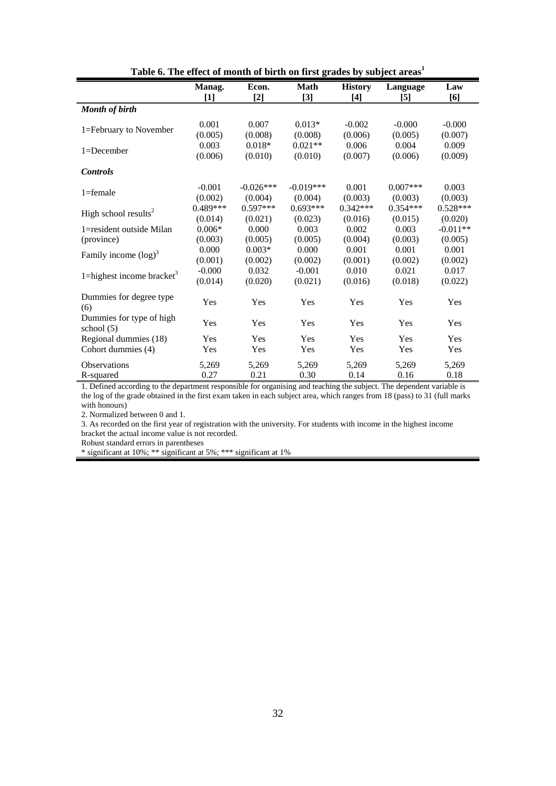|                                          | Manag.     | Econ.       | <b>Math</b> | <b>History</b> | Language   | Law        |
|------------------------------------------|------------|-------------|-------------|----------------|------------|------------|
|                                          | [1]        | $[2]$       | $[3]$       | $[4]$          | [5]        | [6]        |
| <b>Month of birth</b>                    |            |             |             |                |            |            |
|                                          | 0.001      | 0.007       | $0.013*$    | $-0.002$       | $-0.000$   | $-0.000$   |
| 1=February to November                   | (0.005)    | (0.008)     | (0.008)     | (0.006)        | (0.005)    | (0.007)    |
|                                          | 0.003      | $0.018*$    | $0.021**$   | 0.006          | 0.004      | 0.009      |
| 1=December                               | (0.006)    | (0.010)     | (0.010)     | (0.007)        | (0.006)    | (0.009)    |
| <b>Controls</b>                          |            |             |             |                |            |            |
|                                          | $-0.001$   | $-0.026***$ | $-0.019***$ | 0.001          | $0.007***$ | 0.003      |
| $1 =$ female                             | (0.002)    | (0.004)     | (0.004)     | (0.003)        | (0.003)    | (0.003)    |
|                                          | $0.489***$ | $0.597***$  | $0.693***$  | $0.342***$     | $0.354***$ | $0.528***$ |
| High school results <sup>2</sup>         | (0.014)    | (0.021)     | (0.023)     | (0.016)        | (0.015)    | (0.020)    |
| 1=resident outside Milan                 | $0.006*$   | 0.000       | 0.003       | 0.002          | 0.003      | $-0.011**$ |
| (province)                               | (0.003)    | (0.005)     | (0.005)     | (0.004)        | (0.003)    | (0.005)    |
| Family income $(log)^3$                  | 0.000      | $0.003*$    | 0.000       | 0.001          | 0.001      | 0.001      |
|                                          | (0.001)    | (0.002)     | (0.002)     | (0.001)        | (0.002)    | (0.002)    |
| 1=highest income bracket <sup>3</sup>    | $-0.000$   | 0.032       | $-0.001$    | 0.010          | 0.021      | 0.017      |
|                                          | (0.014)    | (0.020)     | (0.021)     | (0.016)        | (0.018)    | (0.022)    |
| Dummies for degree type<br>(6)           | Yes        | Yes         | Yes         | Yes            | Yes        | Yes        |
| Dummies for type of high<br>school $(5)$ | Yes        | Yes         | Yes         | Yes            | Yes        | Yes        |
| Regional dummies (18)                    | Yes        | Yes         | Yes         | Yes            | Yes        | Yes        |
| Cohort dummies (4)                       | Yes        | Yes         | Yes         | Yes            | Yes        | Yes        |
| <b>Observations</b>                      | 5,269      | 5,269       | 5,269       | 5,269          | 5,269      | 5,269      |
| R-squared                                | 0.27       | 0.21        | 0.30        | 0.14           | 0.16       | 0.18       |

Table 6. The effect of month of birth on first grades by subject areas<sup>1</sup>

1. Defined according to the department responsible for organising and teaching the subject. The dependent variable is the log of the grade obtained in the first exam taken in each subject area, which ranges from 18 (pass) to 31 (full marks with honours)

2. Normalized between 0 and 1.

3. As recorded on the first year of registration with the university. For students with income in the highest income bracket the actual income value is not recorded.

Robust standard errors in parentheses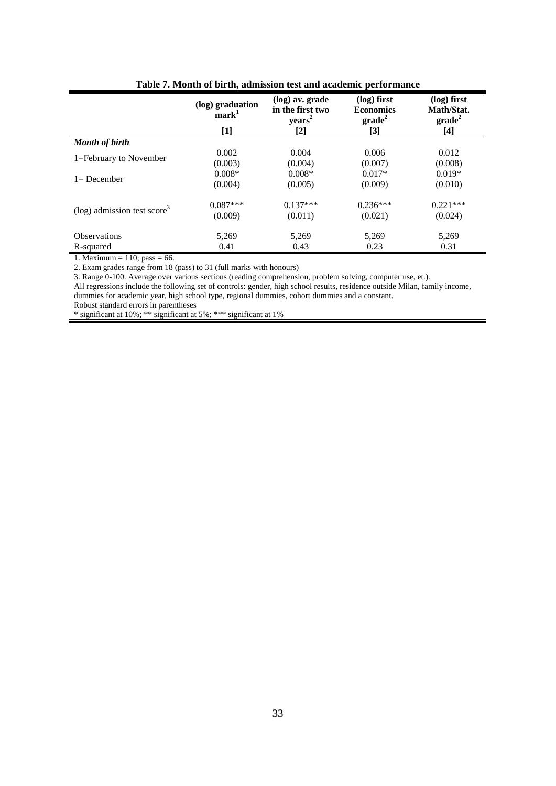|                                            | ruole 71 hroman or om anj uummodon vest unu uuuvinne performunee |                                                                    |                                                                |                                                        |
|--------------------------------------------|------------------------------------------------------------------|--------------------------------------------------------------------|----------------------------------------------------------------|--------------------------------------------------------|
|                                            | (log) graduation<br>mark <sup>1</sup><br>$[1]$                   | (log) av. grade<br>in the first two<br>years <sup>2</sup><br>$[2]$ | (log) first<br><b>Economics</b><br>$\mathbf{grade}^2$<br>$[3]$ | (log) first<br>Math/Stat.<br>$\mathbf{grade}^2$<br>[4] |
| <b>Month of birth</b>                      |                                                                  |                                                                    |                                                                |                                                        |
|                                            |                                                                  |                                                                    |                                                                |                                                        |
| 1=February to November                     | 0.002                                                            | 0.004                                                              | 0.006                                                          | 0.012                                                  |
|                                            | (0.003)                                                          | (0.004)                                                            | (0.007)                                                        | (0.008)                                                |
|                                            | $0.008*$                                                         | $0.008*$                                                           | $0.017*$                                                       | $0.019*$                                               |
| $l = December$                             | (0.004)                                                          | (0.005)                                                            | (0.009)                                                        | (0.010)                                                |
|                                            | $0.087***$                                                       | $0.137***$                                                         | $0.236***$                                                     | $0.221***$                                             |
| $(\log)$ admission test score <sup>3</sup> | (0.009)                                                          | (0.011)                                                            | (0.021)                                                        | (0.024)                                                |
| <b>Observations</b>                        | 5,269                                                            | 5,269                                                              | 5,269                                                          | 5,269                                                  |
| R-squared                                  | 0.41                                                             | 0.43                                                               | 0.23                                                           | 0.31                                                   |
| $\cdots$<br>$\sim$                         |                                                                  |                                                                    |                                                                |                                                        |

|  |  |  | Table 7. Month of birth, admission test and academic performance |
|--|--|--|------------------------------------------------------------------|
|  |  |  |                                                                  |

1. Maximum =  $110$ ; pass = 66.

2. Exam grades range from 18 (pass) to 31 (full marks with honours)

3. Range 0-100. Average over various sections (reading comprehension, problem solving, computer use, et.).

All regressions include the following set of controls: gender, high school results, residence outside Milan, family income, dummies for academic year, high school type, regional dummies, cohort dummies and a constant.

Robust standard errors in parentheses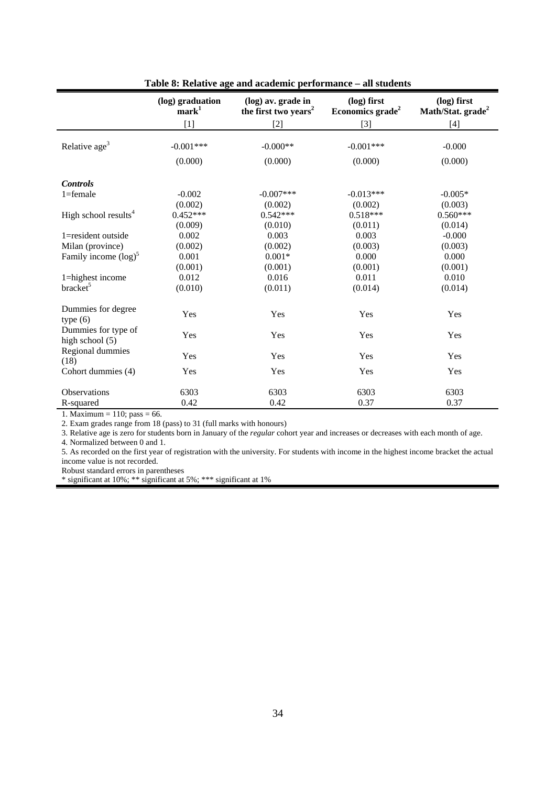|                                        | (log) graduation<br>mark <sup>1</sup> | (log) av. grade in<br>the first two years <sup>2</sup> | (log) first<br>Economics grade <sup>2</sup> | (log) first<br>Math/Stat. grade <sup>2</sup> |
|----------------------------------------|---------------------------------------|--------------------------------------------------------|---------------------------------------------|----------------------------------------------|
|                                        | $[1]$                                 | $\lceil 2 \rceil$                                      | $[3]$                                       | $[4]$                                        |
|                                        |                                       |                                                        |                                             |                                              |
| Relative age <sup>3</sup>              | $-0.001***$                           | $-0.000**$                                             | $-0.001***$                                 | $-0.000$                                     |
|                                        | (0.000)                               | (0.000)                                                | (0.000)                                     | (0.000)                                      |
| <b>Controls</b>                        |                                       |                                                        |                                             |                                              |
| $1 =$ female                           | $-0.002$                              | $-0.007***$                                            | $-0.013***$                                 | $-0.005*$                                    |
|                                        | (0.002)                               | (0.002)                                                | (0.002)                                     | (0.003)                                      |
| High school results <sup>4</sup>       | $0.452***$                            | $0.542***$                                             | $0.518***$                                  | $0.560***$                                   |
|                                        | (0.009)                               | (0.010)                                                | (0.011)                                     | (0.014)                                      |
| 1=resident outside                     | 0.002                                 | 0.003                                                  | 0.003                                       | $-0.000$                                     |
| Milan (province)                       | (0.002)                               | (0.002)                                                | (0.003)                                     | (0.003)                                      |
| Family income $(log)^5$                | 0.001                                 | $0.001*$                                               | 0.000                                       | 0.000                                        |
|                                        | (0.001)                               | (0.001)                                                | (0.001)                                     | (0.001)                                      |
| 1=highest income                       | 0.012                                 | 0.016                                                  | 0.011                                       | 0.010                                        |
| bracket <sup>5</sup>                   | (0.010)                               | (0.011)                                                | (0.014)                                     | (0.014)                                      |
| Dummies for degree<br>type(6)          | Yes                                   | Yes                                                    | Yes                                         | Yes                                          |
| Dummies for type of<br>high school (5) | Yes                                   | Yes                                                    | Yes                                         | Yes                                          |
| Regional dummies<br>(18)               | Yes                                   | Yes                                                    | Yes                                         | Yes                                          |
| Cohort dummies (4)                     | Yes                                   | Yes                                                    | Yes                                         | Yes                                          |
| Observations                           | 6303                                  | 6303                                                   | 6303                                        | 6303                                         |
| R-squared                              | 0.42                                  | 0.42                                                   | 0.37                                        | 0.37                                         |

**Table 8: Relative age and academic performance – all students** 

1. Maximum = 110; pass = 66.

2. Exam grades range from 18 (pass) to 31 (full marks with honours)

3. Relative age is zero for students born in January of the *regular* cohort year and increases or decreases with each month of age.

4. Normalized between 0 and 1.

5. As recorded on the first year of registration with the university. For students with income in the highest income bracket the actual income value is not recorded.

Robust standard errors in parentheses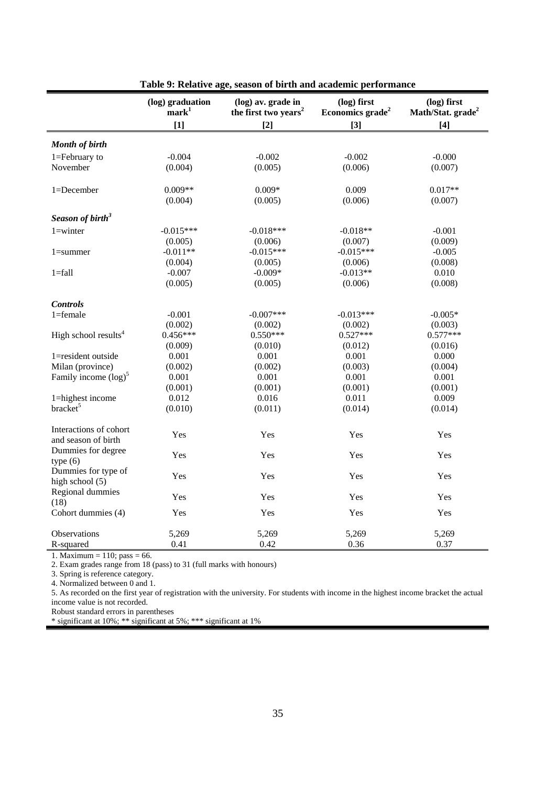|                                               | (log) graduation<br>mark <sup>1</sup> | (log) av. grade in<br>the first two years <sup>2</sup> | (log) first<br>Economics grade <sup>2</sup> | (log) first<br>Math/Stat. grade <sup>2</sup> |
|-----------------------------------------------|---------------------------------------|--------------------------------------------------------|---------------------------------------------|----------------------------------------------|
|                                               | $[1]$                                 | $[2]$                                                  | $[3]$                                       | $[4]$                                        |
|                                               |                                       |                                                        |                                             |                                              |
| <b>Month of birth</b>                         |                                       |                                                        |                                             |                                              |
| 1=February to                                 | $-0.004$                              | $-0.002$                                               | $-0.002$                                    | $-0.000$                                     |
| November                                      | (0.004)                               | (0.005)                                                | (0.006)                                     | (0.007)                                      |
| 1=December                                    | $0.009**$                             | $0.009*$                                               | 0.009                                       | $0.017**$                                    |
|                                               | (0.004)                               | (0.005)                                                | (0.006)                                     | (0.007)                                      |
| Season of birth <sup>3</sup>                  |                                       |                                                        |                                             |                                              |
| $1 =$ winter                                  | $-0.015***$                           | $-0.018***$                                            | $-0.018**$                                  | $-0.001$                                     |
|                                               | (0.005)                               | (0.006)                                                | (0.007)                                     | (0.009)                                      |
| $1 = summer$                                  | $-0.011**$                            | $-0.015***$                                            | $-0.015***$                                 | $-0.005$                                     |
|                                               | (0.004)                               | (0.005)                                                | (0.006)                                     | (0.008)                                      |
| $1 = fall$                                    | $-0.007$                              | $-0.009*$                                              | $-0.013**$                                  | 0.010                                        |
|                                               | (0.005)                               | (0.005)                                                | (0.006)                                     | (0.008)                                      |
| <b>Controls</b>                               |                                       |                                                        |                                             |                                              |
| $1 =$ female                                  | $-0.001$                              | $-0.007***$                                            | $-0.013***$                                 | $-0.005*$                                    |
|                                               | (0.002)                               | (0.002)                                                | (0.002)                                     | (0.003)                                      |
| High school results <sup>4</sup>              | $0.456***$                            | $0.550***$                                             | $0.527***$                                  | $0.577***$                                   |
|                                               | (0.009)                               | (0.010)                                                | (0.012)                                     | (0.016)                                      |
| 1=resident outside                            | 0.001                                 | 0.001                                                  | 0.001                                       | 0.000                                        |
| Milan (province)                              | (0.002)                               | (0.002)                                                | (0.003)                                     | (0.004)                                      |
| Family income $(log)^5$                       | 0.001                                 | 0.001                                                  | 0.001                                       | 0.001                                        |
|                                               | (0.001)                               | (0.001)                                                | (0.001)                                     | (0.001)                                      |
| 1=highest income                              | 0.012                                 | 0.016                                                  | 0.011                                       | 0.009                                        |
| bracket <sup>5</sup>                          | (0.010)                               | (0.011)                                                | (0.014)                                     | (0.014)                                      |
| Interactions of cohort<br>and season of birth | Yes                                   | Yes                                                    | Yes                                         | Yes                                          |
| Dummies for degree<br>type(6)                 | Yes                                   | Yes                                                    | Yes                                         | Yes                                          |
| Dummies for type of<br>high school (5)        | Yes                                   | Yes                                                    | Yes                                         | Yes                                          |
| Regional dummies<br>(18)                      | Yes                                   | Yes                                                    | Yes                                         | Yes                                          |
| Cohort dummies (4)                            | Yes                                   | Yes                                                    | Yes                                         | Yes                                          |
| Observations                                  | 5,269                                 | 5,269                                                  | 5,269                                       | 5,269                                        |
| R-squared                                     | 0.41                                  | 0.42                                                   | 0.36                                        | 0.37                                         |

**Table 9: Relative age, season of birth and academic performance** 

1. Maximum = 110; pass = 66.

2. Exam grades range from 18 (pass) to 31 (full marks with honours)

3. Spring is reference category.

4. Normalized between 0 and 1.

5. As recorded on the first year of registration with the university. For students with income in the highest income bracket the actual income value is not recorded.

ı

Robust standard errors in parentheses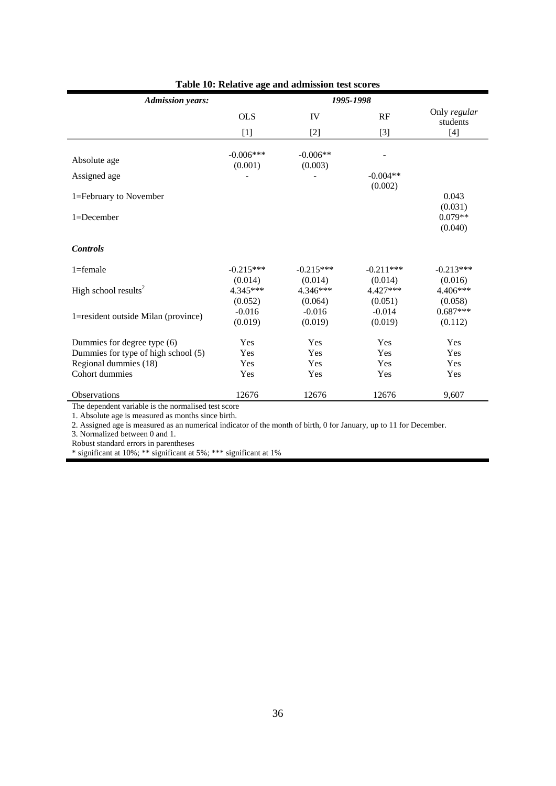| <b>Admission years:</b>             |             | 1995-1998   |             |                      |
|-------------------------------------|-------------|-------------|-------------|----------------------|
|                                     | <b>OLS</b>  | IV          | RF          | Only regular         |
|                                     | $[1]$       | $[2]$       | $[3]$       | students<br>$[4]$    |
|                                     |             |             |             |                      |
| Absolute age                        | $-0.006***$ | $-0.006**$  |             |                      |
| Assigned age                        | (0.001)     | (0.003)     | $-0.004**$  |                      |
|                                     |             |             | (0.002)     |                      |
| 1=February to November              |             |             |             | 0.043                |
| $1 = December$                      |             |             |             | (0.031)<br>$0.079**$ |
|                                     |             |             |             | (0.040)              |
|                                     |             |             |             |                      |
| <b>Controls</b>                     |             |             |             |                      |
| $1 =$ female                        | $-0.215***$ | $-0.215***$ | $-0.211***$ | $-0.213***$          |
|                                     | (0.014)     | (0.014)     | (0.014)     | (0.016)              |
| High school results <sup>2</sup>    | 4.345***    | 4.346***    | $4.427***$  | $4.406***$           |
|                                     | (0.052)     | (0.064)     | (0.051)     | (0.058)              |
| 1=resident outside Milan (province) | $-0.016$    | $-0.016$    | $-0.014$    | $0.687***$           |
|                                     | (0.019)     | (0.019)     | (0.019)     | (0.112)              |
| Dummies for degree type (6)         | Yes         | Yes         | Yes         | Yes                  |
| Dummies for type of high school (5) | Yes         | Yes         | Yes         | Yes                  |
| Regional dummies (18)               | Yes         | Yes         | Yes         | Yes                  |
| Cohort dummies                      | Yes         | Yes         | Yes         | Yes                  |
| <b>Observations</b>                 | 12676       | 12676       | 12676       | 9,607                |

### **Table 10: Relative age and admission test scores**

The dependent variable is the normalised test score

1. Absolute age is measured as months since birth.

2. Assigned age is measured as an numerical indicator of the month of birth, 0 for January, up to 11 for December.

3. Normalized between 0 and 1.

Robust standard errors in parentheses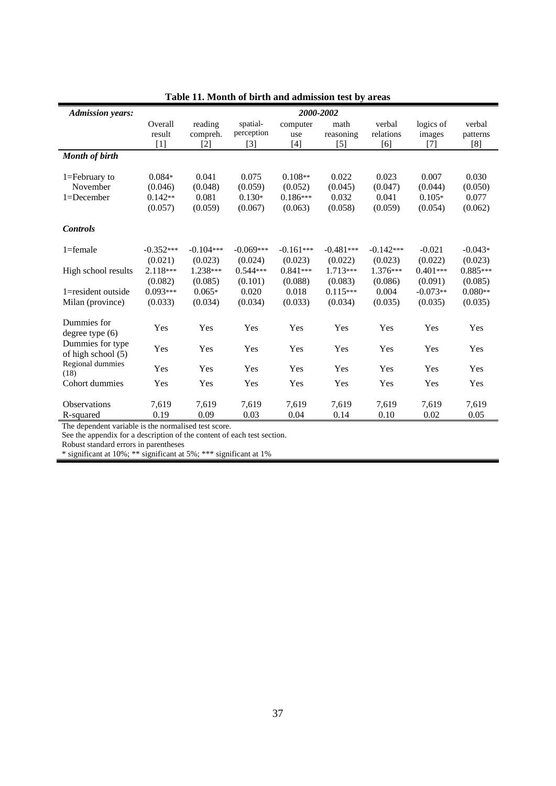| <b>Admission years:</b>                |             |             |             | 2000-2002   |             |             |            |            |
|----------------------------------------|-------------|-------------|-------------|-------------|-------------|-------------|------------|------------|
|                                        | Overall     | reading     | spatial-    | computer    | math        | verbal      | logics of  | verbal     |
|                                        | result      | compreh.    | perception  | use         | reasoning   | relations   | images     | patterns   |
|                                        | $[1]$       | [2]         | $[3]$       | $[4]$       | $[5]$       | [6]         | $[7]$      | [8]        |
| <b>Month of birth</b>                  |             |             |             |             |             |             |            |            |
|                                        |             |             |             |             |             |             |            |            |
| 1=February to                          | $0.084*$    | 0.041       | 0.075       | $0.108**$   | 0.022       | 0.023       | 0.007      | 0.030      |
| November                               | (0.046)     | (0.048)     | (0.059)     | (0.052)     | (0.045)     | (0.047)     | (0.044)    | (0.050)    |
| 1=December                             | $0.142**$   | 0.081       | $0.130*$    | $0.186***$  | 0.032       | 0.041       | $0.105*$   | 0.077      |
|                                        | (0.057)     | (0.059)     | (0.067)     | (0.063)     | (0.058)     | (0.059)     | (0.054)    | (0.062)    |
| <b>Controls</b>                        |             |             |             |             |             |             |            |            |
| $1 =$ female                           | $-0.352***$ | $-0.104***$ | $-0.069***$ | $-0.161***$ | $-0.481***$ | $-0.142***$ | $-0.021$   | $-0.043*$  |
|                                        | (0.021)     | (0.023)     | (0.024)     | (0.023)     | (0.022)     | (0.023)     | (0.022)    | (0.023)    |
| High school results                    | $2.118***$  | 1.238***    | $0.544***$  | $0.841***$  | $1.713***$  | $1.376***$  | $0.401***$ | $0.885***$ |
|                                        | (0.082)     | (0.085)     | (0.101)     | (0.088)     | (0.083)     | (0.086)     | (0.091)    | (0.085)    |
| 1=resident outside                     | $0.093***$  | $0.065*$    | 0.020       | 0.018       | $0.115***$  | 0.004       | $-0.073**$ | $0.080**$  |
| Milan (province)                       | (0.033)     | (0.034)     | (0.034)     | (0.033)     | (0.034)     | (0.035)     | (0.035)    | (0.035)    |
|                                        |             |             |             |             |             |             |            |            |
| Dummies for<br>degree type $(6)$       | Yes         | Yes         | Yes         | Yes         | Yes         | Yes         | Yes        | Yes        |
| Dummies for type<br>of high school (5) | Yes         | Yes         | Yes         | Yes         | Yes         | Yes         | Yes        | Yes        |
| Regional dummies<br>(18)               | Yes         | Yes         | Yes         | Yes         | Yes         | Yes         | Yes        | Yes        |
| Cohort dummies                         | Yes         | Yes         | Yes         | Yes         | Yes         | Yes         | Yes        | Yes        |
| <b>Observations</b>                    | 7,619       | 7,619       | 7,619       | 7,619       | 7,619       | 7,619       | 7,619      | 7,619      |
| R-squared                              | 0.19        | 0.09        | 0.03        | 0.04        | 0.14        | 0.10        | 0.02       | 0.05       |

**Table 11. Month of birth and admission test by areas** 

The dependent variable is the normalised test score.

See the appendix for a description of the content of each test section.

Robust standard errors in parentheses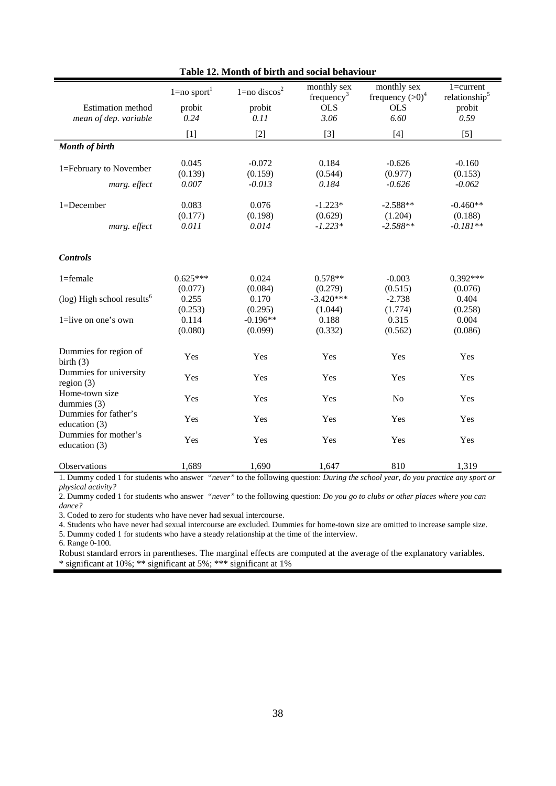|                                           | $1 = no$ sport <sup>1</sup> | $1 = no$ discos <sup>2</sup> | monthly sex<br>frequency <sup>3</sup> | monthly sex<br>frequency $(>0)^4$ | $1 = current$<br>relationship <sup>5</sup> |
|-------------------------------------------|-----------------------------|------------------------------|---------------------------------------|-----------------------------------|--------------------------------------------|
| <b>Estimation</b> method                  | probit                      | probit                       | <b>OLS</b>                            | <b>OLS</b>                        | probit                                     |
| mean of dep. variable                     | 0.24                        | 0.11                         | 3.06                                  | 6.60                              | 0.59                                       |
|                                           | [1]                         | $[2]$                        | $[3]$                                 | $[4]$                             | $[5]$                                      |
| <b>Month of birth</b>                     |                             |                              |                                       |                                   |                                            |
| 1=February to November                    | 0.045                       | $-0.072$                     | 0.184                                 | $-0.626$                          | $-0.160$                                   |
|                                           | (0.139)                     | (0.159)                      | (0.544)                               | (0.977)                           | (0.153)                                    |
| marg. effect                              | 0.007                       | $-0.013$                     | 0.184                                 | $-0.626$                          | $-0.062$                                   |
| 1=December                                | 0.083                       | 0.076                        | $-1.223*$                             | $-2.588**$                        | $-0.460**$                                 |
|                                           | (0.177)                     | (0.198)                      | (0.629)                               | (1.204)                           | (0.188)                                    |
| marg. effect                              | 0.011                       | 0.014                        | $-1.223*$                             | $-2.588**$                        | $-0.181**$                                 |
|                                           |                             |                              |                                       |                                   |                                            |
| <b>Controls</b>                           |                             |                              |                                       |                                   |                                            |
| $1 =$ female                              | $0.625***$                  | 0.024                        | $0.578**$                             | $-0.003$                          | $0.392***$                                 |
|                                           | (0.077)                     | (0.084)                      | (0.279)                               | (0.515)                           | (0.076)                                    |
| $(\log)$ High school results <sup>6</sup> | 0.255                       | 0.170                        | $-3.420***$                           | $-2.738$                          | 0.404                                      |
|                                           | (0.253)                     | (0.295)                      | (1.044)                               | (1.774)                           | (0.258)                                    |
| 1=live on one's own                       | 0.114                       | $-0.196**$                   | 0.188                                 | 0.315                             | 0.004                                      |
|                                           | (0.080)                     | (0.099)                      | (0.332)                               | (0.562)                           | (0.086)                                    |
| Dummies for region of<br>birth $(3)$      | Yes                         | Yes                          | Yes                                   | Yes                               | Yes                                        |
| Dummies for university<br>region $(3)$    | Yes                         | Yes                          | Yes                                   | Yes                               | Yes                                        |
| Home-town size<br>dummies (3)             | Yes                         | Yes                          | Yes                                   | N <sub>o</sub>                    | Yes                                        |
| Dummies for father's<br>education (3)     | Yes                         | Yes                          | Yes                                   | Yes                               | Yes                                        |
| Dummies for mother's<br>education (3)     | Yes                         | Yes                          | Yes                                   | Yes                               | Yes                                        |
| <b>Observations</b>                       | 1,689                       | 1,690                        | 1,647                                 | 810                               | 1,319                                      |

**Table 12. Month of birth and social behaviour** 

1. Dummy coded 1 for students who answer *"never"* to the following question: *During the school year, do you practice any sport or physical activity?*

2. Dummy coded 1 for students who answer *"never"* to the following question: *Do you go to clubs or other places where you can dance?*

3. Coded to zero for students who have never had sexual intercourse.

4. Students who have never had sexual intercourse are excluded. Dummies for home-town size are omitted to increase sample size.

5. Dummy coded 1 for students who have a steady relationship at the time of the interview. 6. Range 0-100.

Robust standard errors in parentheses. The marginal effects are computed at the average of the explanatory variables. \* significant at 10%; \*\* significant at 5%; \*\*\* significant at 1%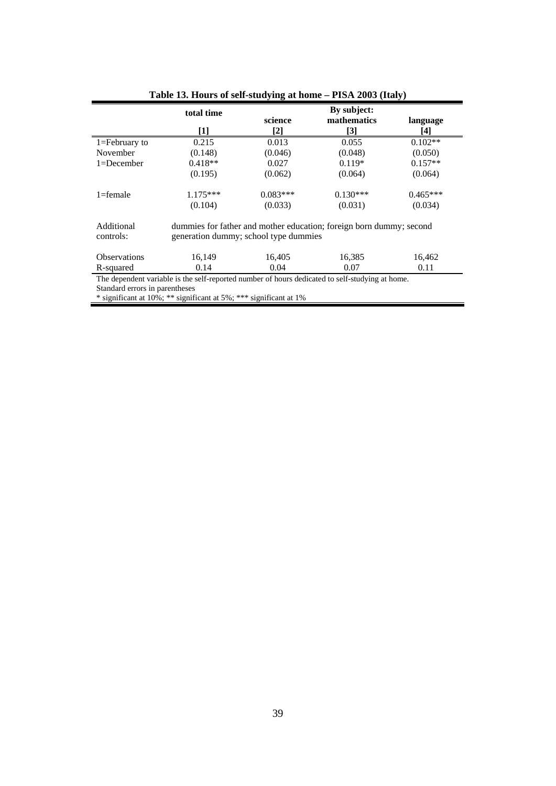|                                                                                                 | total time                                                                                                   |            | By subject: |            |  |  |
|-------------------------------------------------------------------------------------------------|--------------------------------------------------------------------------------------------------------------|------------|-------------|------------|--|--|
|                                                                                                 |                                                                                                              | science    | mathematics | language   |  |  |
|                                                                                                 | [1]                                                                                                          | [2]        | $[3]$       | [4]        |  |  |
| $1 =$ February to                                                                               | 0.215                                                                                                        | 0.013      | 0.055       | $0.102**$  |  |  |
| November                                                                                        | (0.148)                                                                                                      | (0.046)    | (0.048)     | (0.050)    |  |  |
| $1 = December$                                                                                  | $0.418**$                                                                                                    | 0.027      | $0.119*$    | $0.157**$  |  |  |
|                                                                                                 | (0.195)                                                                                                      | (0.062)    | (0.064)     | (0.064)    |  |  |
| $1 =$ female                                                                                    | $1.175***$                                                                                                   | $0.083***$ | $0.130***$  | $0.465***$ |  |  |
|                                                                                                 | (0.104)                                                                                                      | (0.033)    | (0.031)     | (0.034)    |  |  |
| Additional<br>controls:                                                                         | dummies for father and mother education; foreign born dummy; second<br>generation dummy; school type dummies |            |             |            |  |  |
| <b>Observations</b>                                                                             | 16,149                                                                                                       | 16,405     | 16,385      | 16,462     |  |  |
| R-squared                                                                                       | 0.14                                                                                                         | 0.04       | 0.07        | 0.11       |  |  |
| The dependent variable is the self-reported number of hours dedicated to self-studying at home. |                                                                                                              |            |             |            |  |  |
| Standard errors in parentheses                                                                  |                                                                                                              |            |             |            |  |  |
| * significant at 10%; ** significant at 5%; *** significant at 1%                               |                                                                                                              |            |             |            |  |  |

## **Table 13. Hours of self-studying at home – PISA 2003 (Italy)**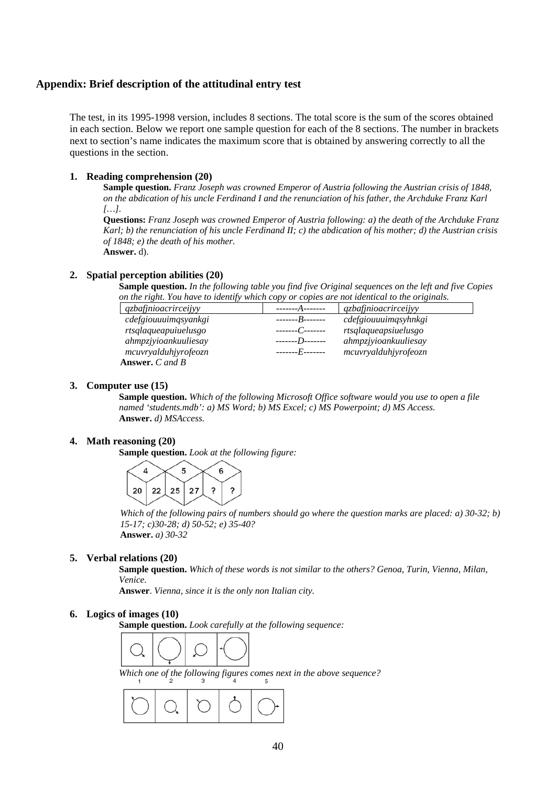### **Appendix: Brief description of the attitudinal entry test**

The test, in its 1995-1998 version, includes 8 sections. The total score is the sum of the scores obtained in each section. Below we report one sample question for each of the 8 sections. The number in brackets next to section's name indicates the maximum score that is obtained by answering correctly to all the questions in the section.

### **1. Reading comprehension (20)**

**Sample question.** *Franz Joseph was crowned Emperor of Austria following the Austrian crisis of 1848, on the abdication of his uncle Ferdinand I and the renunciation of his father, the Archduke Franz Karl […].* 

**Questions:** *Franz Joseph was crowned Emperor of Austria following: a) the death of the Archduke Franz Karl; b) the renunciation of his uncle Ferdinand II; c) the abdication of his mother; d) the Austrian crisis of 1848; e) the death of his mother.*  **Answer.** d).

### **2. Spatial perception abilities (20)**

**Sample question.** *In the following table you find five Original sequences on the left and five Copies on the right. You have to identify which copy or copies are not identical to the originals.* 

| qzbafjnioacrirceijyy   | -----------------        | qzbafjnioacrirceijyy |
|------------------------|--------------------------|----------------------|
| cdefgiouuuimqsyankgi   | $---B---$                | cdefgiouuuimqsyhnkgi |
| rtsqlaqueapuiuelusgo   | --------C--------        | rtsqlaqueapsiuelusgo |
| ahmpzjyioankuuliesay   | --------7)--------       | ahmpzjyioankuuliesay |
| mcuvryalduhjyrofeozn   | ------- <i>F-</i> ------ | mcuvryalduhjyrofeozn |
| <b>Answer.</b> C and B |                          |                      |

### **3. Computer use (15)**

**Sample question.** *Which of the following Microsoft Office software would you use to open a file named 'students.mdb': a) MS Word; b) MS Excel; c) MS Powerpoint; d) MS Access.*  **Answer.** *d) MSAccess.*

### **4. Math reasoning (20)**

**Sample question.** *Look at the following figure:* 



*Which of the following pairs of numbers should go where the question marks are placed: a) 30-32; b) 15-17; c)30-28; d) 50-52; e) 35-40?*  **Answer.** *a) 30-32*

### **5. Verbal relations (20)**

**Sample question.** *Which of these words is not similar to the others? Genoa, Turin, Vienna, Milan, Venice.*

**Answer**. *Vienna, since it is the only non Italian city.* 

### **6. Logics of images (10)**

**Sample question.** *Look carefully at the following sequence:* 



*Which one of the following figures comes next in the above sequence?*